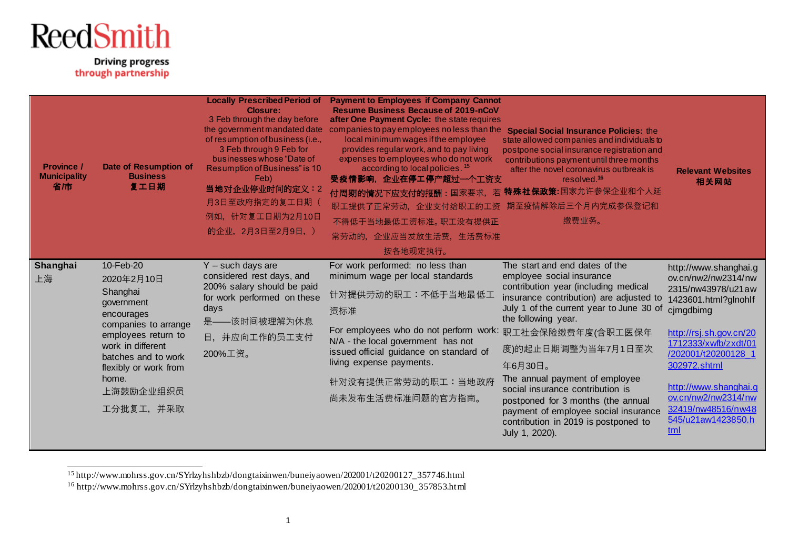Driving progress<br>through partnership

| <b>Province /</b><br><b>Municipality</b><br>省伂 | <b>Date of Resumption of</b><br><b>Business</b><br>复工日期                                                                                                                                                                | <b>Locally Prescribed Period of</b><br><b>Closure:</b><br>3 Feb through the day before<br>the government mandated date<br>of resumption of business (i.e.,<br>3 Feb through 9 Feb for<br>businesses whose "Date of<br>Resumption of Business" is 10<br>Feb)<br>当地对企业停业时间的定义: 2<br>月3日至政府指定的复工日期(<br>例如, 针对复工日期为2月10日<br>的企业, 2月3日至2月9日, ) | <b>Payment to Employees if Company Cannot</b><br><b>Resume Business Because of 2019-nCoV</b><br>after One Payment Cycle: the state requires<br>companies to pay employees no less than the Special Social Insurance Policies: the<br>local minimum wages if the employee<br>provides regular work, and to pay living<br>expenses to employees who do not work<br>according to local policies. <sup>15</sup><br>受疫情影响,企业在停工停产超过一个工资支<br>付周期的情况下应支付的报酬:国家要求,若 特殊社保政策:国家允许参保企业和个人延<br>职工提供了正常劳动, 企业支付给职工的工资<br>不得低于当地最低工资标准。职工没有提供正<br>常劳动的, 企业应当发放生活费, 生活费标准<br>按各地规定执行。 | state allowed companies and individuals to<br>postpone social insurance registration and<br>contributions payment until three months<br>after the novel coronavirus outbreak is<br>resolved. <sup>16</sup><br>期至疫情解除后三个月内完成参保登记和<br>缴费业务。                                                                                                                                                                                                                                             | <b>Relevant Websites</b><br>相关网站                                                                                                                                                                                                                                                                     |
|------------------------------------------------|------------------------------------------------------------------------------------------------------------------------------------------------------------------------------------------------------------------------|-------------------------------------------------------------------------------------------------------------------------------------------------------------------------------------------------------------------------------------------------------------------------------------------------------------------------------------------|------------------------------------------------------------------------------------------------------------------------------------------------------------------------------------------------------------------------------------------------------------------------------------------------------------------------------------------------------------------------------------------------------------------------------------------------------------------------------------------------------------------------------------------------------------------------|---------------------------------------------------------------------------------------------------------------------------------------------------------------------------------------------------------------------------------------------------------------------------------------------------------------------------------------------------------------------------------------------------------------------------------------------------------------------------------------|------------------------------------------------------------------------------------------------------------------------------------------------------------------------------------------------------------------------------------------------------------------------------------------------------|
| Shanghai<br>上海                                 | 10-Feb-20<br>2020年2月10日<br>Shanghai<br>government<br>encourages<br>companies to arrange<br>employees return to<br>work in different<br>batches and to work<br>flexibly or work from<br>home.<br>上海鼓励企业组织员<br>工分批复工,并采取 | $Y$ – such days are<br>considered rest days, and<br>200% salary should be paid<br>for work performed on these<br>days<br>-该时间被理解为休息<br>: : 문<br>日,并应向工作的员工支付<br>200%工资。                                                                                                                                                                   | For work performed: no less than<br>minimum wage per local standards<br>针对提供劳动的职工:不低于当地最低工<br>资标准<br>For employees who do not perform work:<br>N/A - the local government has not<br>issued official guidance on standard of<br>living expense payments.<br>针对没有提供正常劳动的职工:当地政府<br>尚未发布生活费标准问题的官方指南。                                                                                                                                                                                                                                                                    | The start and end dates of the<br>employee social insurance<br>contribution year (including medical<br>insurance contribution) are adjusted to<br>July 1 of the current year to June 30 of<br>the following year.<br>职工社会保险缴费年度(含职工医保年<br>度)的起止日期调整为当年7月1日至次<br>年6月30日。<br>The annual payment of employee<br>social insurance contribution is<br>postponed for 3 months (the annual<br>payment of employee social insurance<br>contribution in 2019 is postponed to<br>July 1, 2020). | http://www.shanghai.g<br>ov.cn/nw2/nw2314/nw<br>2315/nw43978/u21aw<br>1423601.html?glnohlf<br>cjmgdbimg<br>http://rsj.sh.gov.cn/20<br>1712333/xwfb/zxdt/01<br>/202001/t20200128 1<br>302972.shtml<br>http://www.shanghai.g<br>ov.cn/nw2/nw2314/nw<br>32419/nw48516/nw48<br>545/u21aw1423850.h<br>tml |

<sup>15</sup> http://www.mohrss.gov.cn/SYrlzyhshbzb/dongtaixinwen/buneiyaowen/202001/t20200127\_357746.html

<sup>16</sup> http://www.mohrss.gov.cn/SYrlzyhshbzb/dongtaixinwen/buneiyaowen/202001/t20200130\_357853.html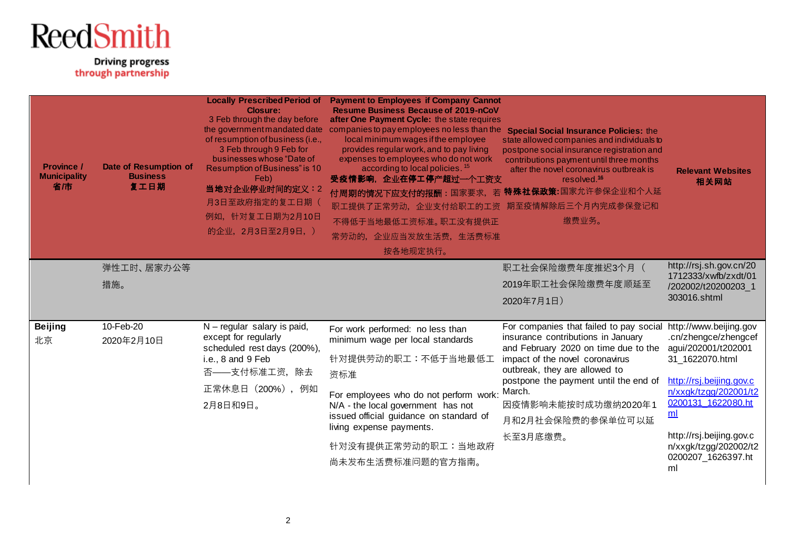| <b>Province /</b><br><b>Municipality</b><br>省市 | <b>Date of Resumption of</b><br><b>Business</b><br>复工日期 | <b>Locally Prescribed Period of</b><br><b>Closure:</b><br>3 Feb through the day before<br>the government mandated date<br>of resumption of business (i.e.,<br>3 Feb through 9 Feb for<br>businesses whose "Date of<br><b>Resumption of Business" is 10</b><br>Feb)<br>当地对企业停业时间的定义: 2<br>月3日至政府指定的复工日期(<br>例如, 针对复工日期为2月10日<br>的企业, 2月3日至2月9日, ) | <b>Payment to Employees if Company Cannot</b><br><b>Resume Business Because of 2019-nCoV</b><br>after One Payment Cycle: the state requires<br>companies to pay employees no less than the Special Social Insurance Policies: the<br>local minimum wages if the employee<br>provides regular work, and to pay living<br>expenses to employees who do not work<br>according to local policies. <sup>15</sup><br>受疫情影响,企业在停工停产超过一个工资支<br>付周期的情况下应支付的报酬:国家要求,若特殊社保政策:国家允许参保企业和个人延<br>职工提供了正常劳动,企业支付给职工的工资<br>不得低于当地最低工资标准。职工没有提供正<br>常劳动的, 企业应当发放生活费, 生活费标准<br>按各地规定执行。 | state allowed companies and individuals to<br>postpone social insurance registration and<br>contributions payment until three months<br>after the novel coronavirus outbreak is<br>resolved. <sup>16</sup><br>期至疫情解除后三个月内完成参保登记和<br>缴费业务。 | <b>Relevant Websites</b><br>相关网站                                      |
|------------------------------------------------|---------------------------------------------------------|--------------------------------------------------------------------------------------------------------------------------------------------------------------------------------------------------------------------------------------------------------------------------------------------------------------------------------------------------|----------------------------------------------------------------------------------------------------------------------------------------------------------------------------------------------------------------------------------------------------------------------------------------------------------------------------------------------------------------------------------------------------------------------------------------------------------------------------------------------------------------------------------------------------------------------|-------------------------------------------------------------------------------------------------------------------------------------------------------------------------------------------------------------------------------------------|-----------------------------------------------------------------------|
|                                                | 弹性工时、居家办公等                                              |                                                                                                                                                                                                                                                                                                                                                  |                                                                                                                                                                                                                                                                                                                                                                                                                                                                                                                                                                      | 职工社会保险缴费年度推迟3个月(                                                                                                                                                                                                                          | http://rsj.sh.gov.cn/20<br>1712333/xwfb/zxdt/01                       |
|                                                | 措施。                                                     |                                                                                                                                                                                                                                                                                                                                                  |                                                                                                                                                                                                                                                                                                                                                                                                                                                                                                                                                                      | 2019年职工社会保险缴费年度顺延至                                                                                                                                                                                                                        | /202002/t20200203 1                                                   |
|                                                |                                                         |                                                                                                                                                                                                                                                                                                                                                  |                                                                                                                                                                                                                                                                                                                                                                                                                                                                                                                                                                      | 2020年7月1日)                                                                                                                                                                                                                                | 303016.shtml                                                          |
| <b>Beijing</b><br>北京                           | 10-Feb-20<br>2020年2月10日                                 | $N$ – regular salary is paid,<br>except for regularly<br>scheduled rest days (200%),                                                                                                                                                                                                                                                             | For work performed: no less than<br>minimum wage per local standards                                                                                                                                                                                                                                                                                                                                                                                                                                                                                                 | For companies that failed to pay social<br>insurance contributions in January<br>and February 2020 on time due to the                                                                                                                     | http://www.beijing.gov<br>.cn/zhengce/zhengcef<br>agui/202001/t202001 |
|                                                |                                                         | i.e., 8 and 9 Feb<br>否 -- 支付标准工资, 除去                                                                                                                                                                                                                                                                                                             | 针对提供劳动的职工:不低于当地最低工<br>资标准                                                                                                                                                                                                                                                                                                                                                                                                                                                                                                                                            | impact of the novel coronavirus<br>outbreak, they are allowed to                                                                                                                                                                          | 31 1622070.html                                                       |
|                                                |                                                         | 正常休息日 (200%), 例如                                                                                                                                                                                                                                                                                                                                 |                                                                                                                                                                                                                                                                                                                                                                                                                                                                                                                                                                      | postpone the payment until the end of                                                                                                                                                                                                     | http://rsj.beijing.gov.c<br>n/xxgk/tzgg/202001/t2                     |
|                                                |                                                         | 2月8日和9日。                                                                                                                                                                                                                                                                                                                                         | For employees who do not perform work: March.<br>N/A - the local government has not                                                                                                                                                                                                                                                                                                                                                                                                                                                                                  | 因疫情影响未能按时成功缴纳2020年1                                                                                                                                                                                                                       | 0200131 1622080.ht                                                    |
|                                                |                                                         |                                                                                                                                                                                                                                                                                                                                                  | issued official guidance on standard of<br>living expense payments.                                                                                                                                                                                                                                                                                                                                                                                                                                                                                                  | 月和2月社会保险费的参保单位可以延                                                                                                                                                                                                                         | ml                                                                    |
|                                                |                                                         |                                                                                                                                                                                                                                                                                                                                                  | 针对没有提供正常劳动的职工:当地政府                                                                                                                                                                                                                                                                                                                                                                                                                                                                                                                                                   | 长至3月底缴费。                                                                                                                                                                                                                                  | http://rsj.beijing.gov.c<br>n/xxgk/tzgg/202002/t2                     |
|                                                |                                                         |                                                                                                                                                                                                                                                                                                                                                  | 尚未发布生活费标准问题的官方指南。                                                                                                                                                                                                                                                                                                                                                                                                                                                                                                                                                    |                                                                                                                                                                                                                                           | 0200207_1626397.ht<br>ml                                              |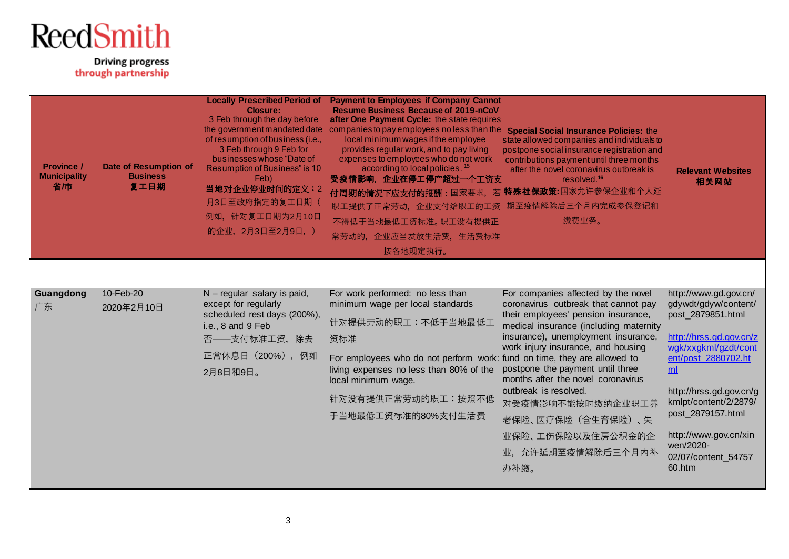| <b>Province /</b><br><b>Municipality</b><br>省市 | Date of Resumption of<br><b>Business</b><br>复工日期 | <b>Locally Prescribed Period of</b><br><b>Closure:</b><br>3 Feb through the day before<br>the government mandated date<br>of resumption of business (i.e.,<br>3 Feb through 9 Feb for<br>businesses whose "Date of<br>Resumption of Business" is 10<br>Feb)<br>当地对企业停业时间的定义: 2<br>月3日至政府指定的复工日期(<br>例如, 针对复工日期为2月10日<br>的企业, 2月3日至2月9日, ) | <b>Payment to Employees if Company Cannot</b><br><b>Resume Business Because of 2019-nCoV</b><br>after One Payment Cycle: the state requires<br>companies to pay employees no less than the Special Social Insurance Policies: the<br>local minimum wages if the employee<br>provides regular work, and to pay living<br>expenses to employees who do not work<br>according to local policies. <sup>15</sup><br>受疫情影响, 企业在停工停产超过一个工资支<br>付周期的情况下应支付的报酬:国家要求,若<br>职工提供了正常劳动, 企业支付给职工的工资<br>不得低于当地最低工资标准。职工没有提供正<br>常劳动的, 企业应当发放生活费, 生活费标准<br>按各地规定执行。 | state allowed companies and individuals to<br>postpone social insurance registration and<br>contributions payment until three months<br>after the novel coronavirus outbreak is<br>resolved. <sup>16</sup><br>特殊社保政策:国家允许参保企业和个人延<br>期至疫情解除后三个月内完成参保登记和<br>缴费业务。                                                                                                                                                                         | <b>Relevant Websites</b><br>相关网站                                                                                                                                                                                                                                                                   |
|------------------------------------------------|--------------------------------------------------|-------------------------------------------------------------------------------------------------------------------------------------------------------------------------------------------------------------------------------------------------------------------------------------------------------------------------------------------|-----------------------------------------------------------------------------------------------------------------------------------------------------------------------------------------------------------------------------------------------------------------------------------------------------------------------------------------------------------------------------------------------------------------------------------------------------------------------------------------------------------------------------------------------------|------------------------------------------------------------------------------------------------------------------------------------------------------------------------------------------------------------------------------------------------------------------------------------------------------------------------------------------------------------------------------------------------------------------------------------------|----------------------------------------------------------------------------------------------------------------------------------------------------------------------------------------------------------------------------------------------------------------------------------------------------|
| Guangdong<br>广东                                | 10-Feb-20<br>2020年2月10日                          | $N$ – regular salary is paid,<br>except for regularly<br>scheduled rest days (200%),<br>i.e., 8 and 9 Feb<br>否 -- 支付标准工资, 除去<br>正常休息日 (200%), 例如<br>2月8日和9日。                                                                                                                                                                              | For work performed: no less than<br>minimum wage per local standards<br>针对提供劳动的职工:不低于当地最低工<br>资标准<br>For employees who do not perform work: fund on time, they are allowed to<br>living expenses no less than 80% of the<br>local minimum wage.<br>针对没有提供正常劳动的职工:按照不低<br>于当地最低工资标准的80%支付生活费                                                                                                                                                                                                                                                         | For companies affected by the novel<br>coronavirus outbreak that cannot pay<br>their employees' pension insurance,<br>medical insurance (including maternity<br>insurance), unemployment insurance,<br>work injury insurance, and housing<br>postpone the payment until three<br>months after the novel coronavirus<br>outbreak is resolved.<br>对受疫情影响不能按时缴纳企业职工养<br>老保险、医疗保险(含生育保险)、失<br>业保险、工伤保险以及住房公积金的企<br>业,允许延期至疫情解除后三个月内补<br>办补缴。 | http://www.gd.gov.cn/<br>gdywdt/gdyw/content/<br>post_2879851.html<br>http://hrss.gd.gov.cn/z<br>wgk/xxgkml/gzdt/cont<br>ent/post 2880702.ht<br>ml<br>http://hrss.gd.gov.cn/g<br>kmlpt/content/2/2879/<br>post_2879157.html<br>http://www.gov.cn/xin<br>wen/2020-<br>02/07/content_54757<br>60.htm |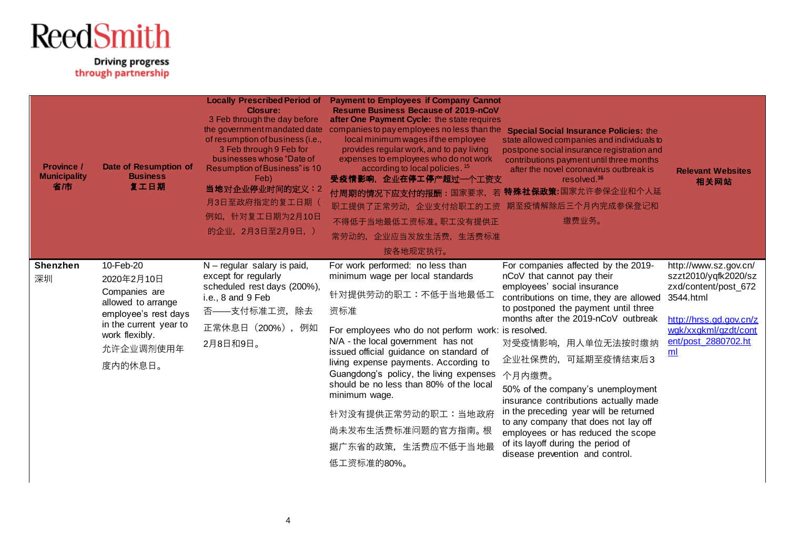| <b>Province /</b><br><b>Municipality</b><br>省伂 | <b>Date of Resumption of</b><br><b>Business</b><br>复工日期                                                                                                    | <b>Closure:</b><br>3 Feb through the day before<br>the government mandated date<br>of resumption of business (i.e.,<br>3 Feb through 9 Feb for<br>businesses whose "Date of<br>Resumption of Business" is 10<br>Feb)<br>当地对企业停业时间的定义: 2<br>月3日至政府指定的复工日期(<br>例如, 针对复工日期为2月10日<br>的企业, 2月3日至2月9日, ) | <b>Locally Prescribed Period of Payment to Employees if Company Cannot</b><br><b>Resume Business Because of 2019-nCoV</b><br>after One Payment Cycle: the state requires<br>companies to pay employees no less than the Special Social Insurance Policies: the<br>local minimum wages if the employee<br>provides regular work, and to pay living<br>expenses to employees who do not work<br>according to local policies. <sup>15</sup><br>受疫情影响,企业在停工停产超过一个工资支<br>付周期的情况下应支付的报酬:国家要求,若特殊社保政策:国家允许参保企业和个人延<br>职工提供了正常劳动,企业支付给职工的工资<br>不得低于当地最低工资标准。职工没有提供正<br>常劳动的, 企业应当发放生活费, 生活费标准<br>按各地规定执行。 | state allowed companies and individuals to<br>postpone social insurance registration and<br>contributions payment until three months<br>after the novel coronavirus outbreak is<br>resolved. <sup>16</sup><br>期至疫情解除后三个月内完成参保登记和<br>缴费业务。                                                                                                                                                                                                                                                                                                                          | <b>Relevant Websites</b><br>相关网站                                                                                                                                               |
|------------------------------------------------|------------------------------------------------------------------------------------------------------------------------------------------------------------|----------------------------------------------------------------------------------------------------------------------------------------------------------------------------------------------------------------------------------------------------------------------------------------------------|---------------------------------------------------------------------------------------------------------------------------------------------------------------------------------------------------------------------------------------------------------------------------------------------------------------------------------------------------------------------------------------------------------------------------------------------------------------------------------------------------------------------------------------------------------------------------------------------------|--------------------------------------------------------------------------------------------------------------------------------------------------------------------------------------------------------------------------------------------------------------------------------------------------------------------------------------------------------------------------------------------------------------------------------------------------------------------------------------------------------------------------------------------------------------------|--------------------------------------------------------------------------------------------------------------------------------------------------------------------------------|
| <b>Shenzhen</b><br>深圳                          | 10-Feb-20<br>2020年2月10日<br>Companies are<br>allowed to arrange<br>employee's rest days<br>in the current year to<br>work flexibly.<br>允许企业调剂使用年<br>度内的休息日。 | N - regular salary is paid,<br>except for regularly<br>scheduled rest days (200%),<br>i.e., 8 and 9 Feb<br>否 -- 支付标准工资, 除去<br>正常休息日 (200%), 例如<br>2月8日和9日。                                                                                                                                         | For work performed: no less than<br>minimum wage per local standards<br>针对提供劳动的职工:不低于当地最低工<br>资标准<br>For employees who do not perform work: is resolved.<br>N/A - the local government has not<br>issued official guidance on standard of<br>living expense payments. According to<br>Guangdong's policy, the living expenses<br>should be no less than 80% of the local<br>minimum wage.<br>针对没有提供正常劳动的职工:当地政府<br>尚未发布生活费标准问题的官方指南。根<br>据广东省的政策, 生活费应不低于当地最<br>低工资标准的80%。                                                                                                                        | For companies affected by the 2019-<br>nCoV that cannot pay their<br>employees' social insurance<br>contributions on time, they are allowed<br>to postponed the payment until three<br>months after the 2019-nCoV outbreak<br>对受疫情影响, 用人单位无法按时缴纳<br>企业社保费的,<br>可延期至疫情结束后3<br>个月内缴费。<br>50% of the company's unemployment<br>insurance contributions actually made<br>in the preceding year will be returned<br>to any company that does not lay off<br>employees or has reduced the scope<br>of its layoff during the period of<br>disease prevention and control. | http://www.sz.gov.cn/<br>szzt2010/yqfk2020/sz<br>zxd/content/post_672<br>3544.html<br>http://hrss.gd.gov.cn/z<br>wqk/xxqkml/qzdt/cont<br>ent/post 2880702.ht<br>m <sub>l</sub> |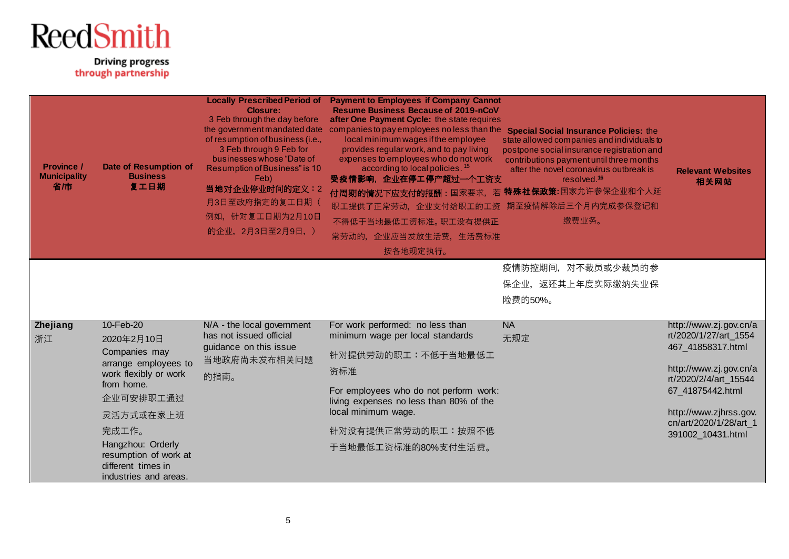| <b>Province /</b><br><b>Municipality</b><br>省庸 | <b>Date of Resumption of</b><br><b>Business</b><br>复工日期                                   | <b>Locally Prescribed Period of</b><br><b>Closure:</b><br>3 Feb through the day before<br>of resumption of business (i.e.,<br>3 Feb through 9 Feb for<br>businesses whose "Date of<br>Resumption of Business" is 10<br>Feb)<br>当地对企业停业时间的定义: 2<br>月3日至政府指定的复工日期(<br>例如, 针对复工日期为2月10日<br>的企业, 2月3日至2月9日, ) | <b>Payment to Employees if Company Cannot</b><br><b>Resume Business Because of 2019-nCoV</b><br>after One Payment Cycle: the state requires<br>the government mandated date companies to pay employees no less than the<br>local minimum wages if the employee<br>provides regular work, and to pay living<br>expenses to employees who do not work<br>according to local policies. <sup>15</sup><br>受疫情影响,企业在停工停产超过一个工资支<br>付周期的情况下应支付的报酬:国家要求,若特殊社保政策:国家允许参保企业和个人延<br>职工提供了正常劳动, 企业支付给职工的工资<br>不得低于当地最低工资标准。职工没有提供正<br>常劳动的,企业应当发放生活费,生活费标准<br>按各地规定执行。 | <b>Special Social Insurance Policies: the</b><br>state allowed companies and individuals to<br>postpone social insurance registration and<br>contributions payment until three months<br>after the novel coronavirus outbreak is<br>resolved. <sup>16</sup><br>期至疫情解除后三个月内完成参保登记和<br>缴费业务。 | <b>Relevant Websites</b><br>相关网站                                     |
|------------------------------------------------|-------------------------------------------------------------------------------------------|-----------------------------------------------------------------------------------------------------------------------------------------------------------------------------------------------------------------------------------------------------------------------------------------------------------|-----------------------------------------------------------------------------------------------------------------------------------------------------------------------------------------------------------------------------------------------------------------------------------------------------------------------------------------------------------------------------------------------------------------------------------------------------------------------------------------------------------------------------------------------------------|--------------------------------------------------------------------------------------------------------------------------------------------------------------------------------------------------------------------------------------------------------------------------------------------|----------------------------------------------------------------------|
|                                                |                                                                                           |                                                                                                                                                                                                                                                                                                           |                                                                                                                                                                                                                                                                                                                                                                                                                                                                                                                                                           | 疫情防控期间, 对不裁员或少裁员的参                                                                                                                                                                                                                                                                         |                                                                      |
|                                                |                                                                                           |                                                                                                                                                                                                                                                                                                           |                                                                                                                                                                                                                                                                                                                                                                                                                                                                                                                                                           | 保企业, 返还其上年度实际缴纳失业保                                                                                                                                                                                                                                                                         |                                                                      |
|                                                |                                                                                           |                                                                                                                                                                                                                                                                                                           |                                                                                                                                                                                                                                                                                                                                                                                                                                                                                                                                                           | 险费的50%。                                                                                                                                                                                                                                                                                    |                                                                      |
| Zhejiang<br>浙江                                 | 10-Feb-20<br>2020年2月10日<br>Companies may                                                  | N/A - the local government<br>has not issued official<br>guidance on this issue                                                                                                                                                                                                                           | For work performed: no less than<br>minimum wage per local standards<br>针对提供劳动的职工:不低于当地最低工                                                                                                                                                                                                                                                                                                                                                                                                                                                                | <b>NA</b><br>无规定                                                                                                                                                                                                                                                                           | http://www.zj.gov.cn/a<br>rt/2020/1/27/art 1554<br>467_41858317.html |
|                                                | arrange employees to                                                                      | 当地政府尚未发布相关问题                                                                                                                                                                                                                                                                                              | 资标准                                                                                                                                                                                                                                                                                                                                                                                                                                                                                                                                                       |                                                                                                                                                                                                                                                                                            | http://www.zj.gov.cn/a                                               |
|                                                | work flexibly or work<br>from home.                                                       | 的指南。                                                                                                                                                                                                                                                                                                      |                                                                                                                                                                                                                                                                                                                                                                                                                                                                                                                                                           |                                                                                                                                                                                                                                                                                            | rt/2020/2/4/art_15544                                                |
|                                                | 企业可安排职工通过                                                                                 |                                                                                                                                                                                                                                                                                                           | For employees who do not perform work:<br>living expenses no less than 80% of the                                                                                                                                                                                                                                                                                                                                                                                                                                                                         |                                                                                                                                                                                                                                                                                            | 67_41875442.html                                                     |
|                                                | 灵活方式或在家上班                                                                                 |                                                                                                                                                                                                                                                                                                           | local minimum wage.                                                                                                                                                                                                                                                                                                                                                                                                                                                                                                                                       |                                                                                                                                                                                                                                                                                            | http://www.zjhrss.gov.                                               |
|                                                | 完成工作。                                                                                     |                                                                                                                                                                                                                                                                                                           | 针对没有提供正常劳动的职工:按照不低                                                                                                                                                                                                                                                                                                                                                                                                                                                                                                                                        |                                                                                                                                                                                                                                                                                            | cn/art/2020/1/28/art 1<br>391002_10431.html                          |
|                                                | Hangzhou: Orderly<br>resumption of work at<br>different times in<br>industries and areas. |                                                                                                                                                                                                                                                                                                           | 于当地最低工资标准的80%支付生活费。                                                                                                                                                                                                                                                                                                                                                                                                                                                                                                                                       |                                                                                                                                                                                                                                                                                            |                                                                      |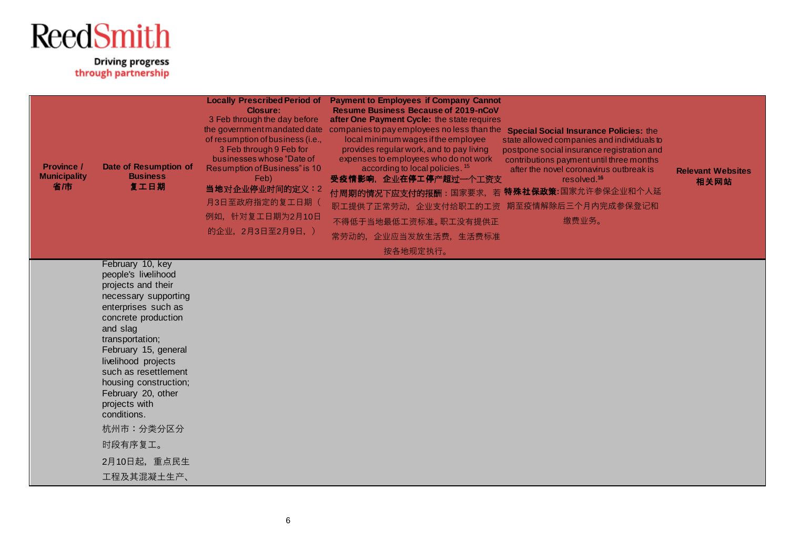| <b>Province /</b><br><b>Municipality</b><br>省市 | <b>Date of Resumption of</b><br><b>Business</b><br>复工日期                                                                                                                                                                                                                                                                                                                        | <b>Closure:</b><br>3 Feb through the day before<br>of resumption of business (i.e.,<br>3 Feb through 9 Feb for<br>businesses whose "Date of<br>Resumption of Business" is 10<br>Feb)<br>当地对企业停业时间的定义: 2<br>月3日至政府指定的复工日期(<br>例如, 针对复工日期为2月10日<br>的企业, 2月3日至2月9日, ) | Locally Prescribed Period of Payment to Employees if Company Cannot<br><b>Resume Business Because of 2019-nCoV</b><br>after One Payment Cycle: the state requires<br>the government mandated date companies to pay employees no less than the Special Social Insurance Policies: the<br>local minimum wages if the employee<br>provides regular work, and to pay living<br>expenses to employees who do not work<br>according to local policies. <sup>15</sup><br>受疫情影响,企业在停工停产超过一个工资支<br>付周期的情况下应支付的报酬:国家要求,若特殊社保政策:国家允许参保企业和个人延<br>职工提供了正常劳动,企业支付给职工的工资<br>不得低于当地最低工资标准。职工没有提供正<br>常劳动的, 企业应当发放生活费, 生活费标准<br>按各地规定执行。 | state allowed companies and individuals to<br>postpone social insurance registration and<br>contributions payment until three months<br>after the novel coronavirus outbreak is<br>resolved. <sup>16</sup><br>期至疫情解除后三个月内完成参保登记和<br>缴费业务。 | <b>Relevant Websites</b><br>相关网站 |
|------------------------------------------------|--------------------------------------------------------------------------------------------------------------------------------------------------------------------------------------------------------------------------------------------------------------------------------------------------------------------------------------------------------------------------------|--------------------------------------------------------------------------------------------------------------------------------------------------------------------------------------------------------------------------------------------------------------------|-------------------------------------------------------------------------------------------------------------------------------------------------------------------------------------------------------------------------------------------------------------------------------------------------------------------------------------------------------------------------------------------------------------------------------------------------------------------------------------------------------------------------------------------------------------------------------------------------------------------------|-------------------------------------------------------------------------------------------------------------------------------------------------------------------------------------------------------------------------------------------|----------------------------------|
|                                                | February 10, key<br>people's livelihood<br>projects and their<br>necessary supporting<br>enterprises such as<br>concrete production<br>and slag<br>transportation;<br>February 15, general<br>livelihood projects<br>such as resettlement<br>housing construction;<br>February 20, other<br>projects with<br>conditions.<br>杭州市:分类分区分<br>时段有序复工。<br>2月10日起, 重点民生<br>工程及其混凝土生产、 |                                                                                                                                                                                                                                                                    |                                                                                                                                                                                                                                                                                                                                                                                                                                                                                                                                                                                                                         |                                                                                                                                                                                                                                           |                                  |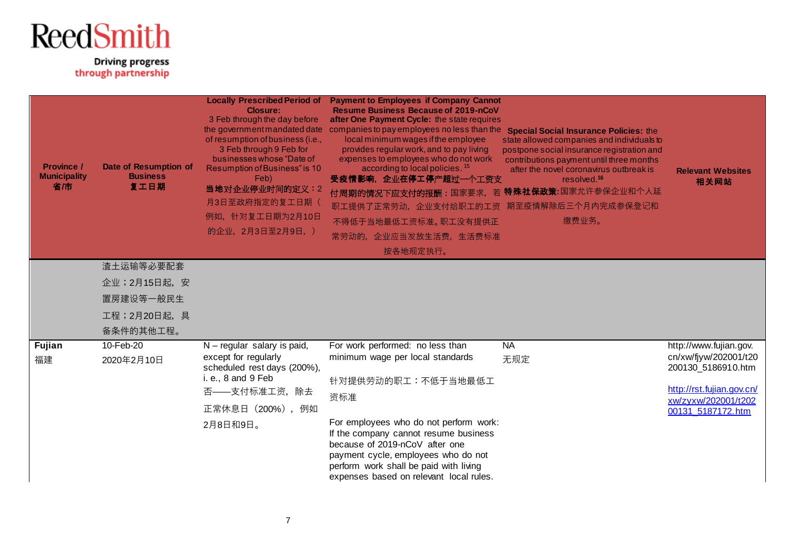| <b>Province /</b><br><b>Municipality</b><br>省市 | <b>Date of Resumption of</b><br><b>Business</b><br>复工日期 | <b>Locally Prescribed Period of</b><br><b>Closure:</b><br>3 Feb through the day before<br>of resumption of business (i.e.,<br>3 Feb through 9 Feb for<br>businesses whose "Date of<br>Resumption of Business" is 10<br>Feb)<br>当地对企业停业时间的定义: 2<br>月3日至政府指定的复工日期(<br>例如, 针对复工日期为2月10日<br>的企业, 2月3日至2月9日, ) | <b>Payment to Employees if Company Cannot</b><br><b>Resume Business Because of 2019-nCoV</b><br>after One Payment Cycle: the state requires<br>the government mandated date companies to pay employees no less than the<br>local minimum wages if the employee<br>provides regular work, and to pay living<br>expenses to employees who do not work<br>according to local policies. <sup>15</sup><br>受疫情影响,企业在停工停产超过一个工资支<br>付周期的情况下应支付的报酬:国家要求,若特殊社保政策:国家允许参保企业和个人延<br>职工提供了正常劳动,企业支付给职工的工资<br>不得低于当地最低工资标准。职工没有提供正<br>常劳动的, 企业应当发放生活费, 生活费标准<br>按各地规定执行。 | <b>Special Social Insurance Policies: the</b><br>state allowed companies and individuals to<br>postpone social insurance registration and<br>contributions payment until three months<br>after the novel coronavirus outbreak is<br>resolved. <sup>16</sup><br>期至疫情解除后三个月内完成参保登记和<br>缴费业务。 | <b>Relevant Websites</b><br>相关网站                                                                                                               |
|------------------------------------------------|---------------------------------------------------------|-----------------------------------------------------------------------------------------------------------------------------------------------------------------------------------------------------------------------------------------------------------------------------------------------------------|------------------------------------------------------------------------------------------------------------------------------------------------------------------------------------------------------------------------------------------------------------------------------------------------------------------------------------------------------------------------------------------------------------------------------------------------------------------------------------------------------------------------------------------------------------|--------------------------------------------------------------------------------------------------------------------------------------------------------------------------------------------------------------------------------------------------------------------------------------------|------------------------------------------------------------------------------------------------------------------------------------------------|
|                                                | 渣土运输等必要配套                                               |                                                                                                                                                                                                                                                                                                           |                                                                                                                                                                                                                                                                                                                                                                                                                                                                                                                                                            |                                                                                                                                                                                                                                                                                            |                                                                                                                                                |
|                                                | 企业; 2月15日起, 安                                           |                                                                                                                                                                                                                                                                                                           |                                                                                                                                                                                                                                                                                                                                                                                                                                                                                                                                                            |                                                                                                                                                                                                                                                                                            |                                                                                                                                                |
|                                                | 置房建设等一般民生                                               |                                                                                                                                                                                                                                                                                                           |                                                                                                                                                                                                                                                                                                                                                                                                                                                                                                                                                            |                                                                                                                                                                                                                                                                                            |                                                                                                                                                |
|                                                | 工程;2月20日起,具                                             |                                                                                                                                                                                                                                                                                                           |                                                                                                                                                                                                                                                                                                                                                                                                                                                                                                                                                            |                                                                                                                                                                                                                                                                                            |                                                                                                                                                |
|                                                | 备条件的其他工程。                                               |                                                                                                                                                                                                                                                                                                           |                                                                                                                                                                                                                                                                                                                                                                                                                                                                                                                                                            |                                                                                                                                                                                                                                                                                            |                                                                                                                                                |
| Fujian<br>福建                                   | 10-Feb-20<br>2020年2月10日                                 | $N$ – regular salary is paid,<br>except for regularly<br>scheduled rest days (200%),<br>i. e., 8 and 9 Feb<br>否 -- 支付标准工资, 除去<br>正常休息日 (200%), 例如                                                                                                                                                         | For work performed: no less than<br>minimum wage per local standards<br>针对提供劳动的职工:不低于当地最低工<br>资标准                                                                                                                                                                                                                                                                                                                                                                                                                                                          | <b>NA</b><br>无规定                                                                                                                                                                                                                                                                           | http://www.fujian.gov.<br>cn/xw/fjyw/202001/t20<br>200130 5186910.htm<br>http://rst.fujian.gov.cn/<br>xw/zyxw/202001/t202<br>00131 5187172.htm |
|                                                |                                                         | 2月8日和9日。                                                                                                                                                                                                                                                                                                  | For employees who do not perform work:<br>If the company cannot resume business<br>because of 2019-nCoV after one<br>payment cycle, employees who do not<br>perform work shall be paid with living<br>expenses based on relevant local rules.                                                                                                                                                                                                                                                                                                              |                                                                                                                                                                                                                                                                                            |                                                                                                                                                |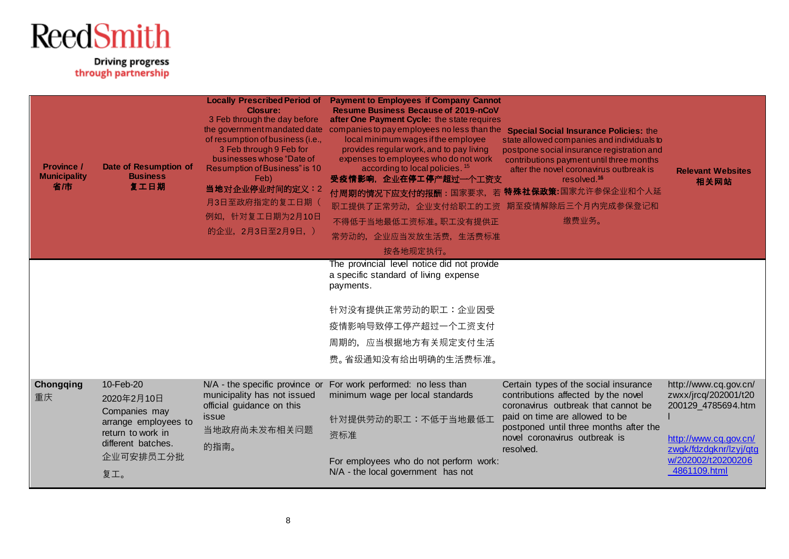| <b>Province /</b><br><b>Municipality</b><br>省庸 | <b>Date of Resumption of</b><br><b>Business</b><br>复工日期                                                                         | <b>Locally Prescribed Period of</b><br><b>Closure:</b><br>3 Feb through the day before<br>the government mandated date<br>of resumption of business (i.e.,<br>3 Feb through 9 Feb for<br>businesses whose "Date of<br>Resumption of Business" is 10<br>Feb)<br>当地对企业停业时间的定义: 2<br>月3日至政府指定的复工日期(<br>例如, 针对复工日期为2月10日<br>的企业, 2月3日至2月9日, ) | <b>Payment to Employees if Company Cannot</b><br><b>Resume Business Because of 2019-nCoV</b><br>after One Payment Cycle: the state requires<br>companies to pay employees no less than the<br>local minimum wages if the employee<br>provides regular work, and to pay living<br>expenses to employees who do not work<br>according to local policies. <sup>15</sup><br>受疫情影响,企业在停工停产超过一个工资支<br>付周期的情况下应支付的报酬:国家要求,若<br>职工提供了正常劳动,企业支付给职工的工资<br>不得低于当地最低工资标准。职工没有提供正<br>常劳动的, 企业应当发放生活费, 生活费标准<br>按各地规定执行。 | <b>Special Social Insurance Policies: the</b><br>state allowed companies and individuals to<br>postpone social insurance registration and<br>contributions payment until three months<br>after the novel coronavirus outbreak is<br>resolved. <sup>16</sup><br>特殊社保政策:国家允许参保企业和个人延<br>期至疫情解除后三个月内完成参保登记和<br>缴费业务。 | <b>Relevant Websites</b><br>相关网站                                                                                                                             |
|------------------------------------------------|---------------------------------------------------------------------------------------------------------------------------------|-------------------------------------------------------------------------------------------------------------------------------------------------------------------------------------------------------------------------------------------------------------------------------------------------------------------------------------------|------------------------------------------------------------------------------------------------------------------------------------------------------------------------------------------------------------------------------------------------------------------------------------------------------------------------------------------------------------------------------------------------------------------------------------------------------------------------------------------------------------|-------------------------------------------------------------------------------------------------------------------------------------------------------------------------------------------------------------------------------------------------------------------------------------------------------------------|--------------------------------------------------------------------------------------------------------------------------------------------------------------|
|                                                |                                                                                                                                 |                                                                                                                                                                                                                                                                                                                                           | The provincial level notice did not provide<br>a specific standard of living expense<br>payments.                                                                                                                                                                                                                                                                                                                                                                                                          |                                                                                                                                                                                                                                                                                                                   |                                                                                                                                                              |
|                                                |                                                                                                                                 |                                                                                                                                                                                                                                                                                                                                           | 针对没有提供正常劳动的职工:企业因受                                                                                                                                                                                                                                                                                                                                                                                                                                                                                         |                                                                                                                                                                                                                                                                                                                   |                                                                                                                                                              |
|                                                |                                                                                                                                 |                                                                                                                                                                                                                                                                                                                                           | 疫情影响导致停工停产超过一个工资支付                                                                                                                                                                                                                                                                                                                                                                                                                                                                                         |                                                                                                                                                                                                                                                                                                                   |                                                                                                                                                              |
|                                                |                                                                                                                                 |                                                                                                                                                                                                                                                                                                                                           | 周期的, 应当根据地方有关规定支付生活                                                                                                                                                                                                                                                                                                                                                                                                                                                                                        |                                                                                                                                                                                                                                                                                                                   |                                                                                                                                                              |
|                                                |                                                                                                                                 |                                                                                                                                                                                                                                                                                                                                           | 费。省级通知没有给出明确的生活费标准。                                                                                                                                                                                                                                                                                                                                                                                                                                                                                        |                                                                                                                                                                                                                                                                                                                   |                                                                                                                                                              |
| <b>Chongqing</b><br>重庆                         | 10-Feb-20<br>2020年2月10日<br>Companies may<br>arrange employees to<br>return to work in<br>different batches.<br>企业可安排员工分批<br>复工。 | N/A - the specific province or<br>municipality has not issued<br>official guidance on this<br>issue<br>当地政府尚未发布相关问题<br>的指南。                                                                                                                                                                                                               | For work performed: no less than<br>minimum wage per local standards<br>针对提供劳动的职工:不低于当地最低工<br>资标准<br>For employees who do not perform work:<br>N/A - the local government has not                                                                                                                                                                                                                                                                                                                          | Certain types of the social insurance<br>contributions affected by the novel<br>coronavirus outbreak that cannot be<br>paid on time are allowed to be<br>postponed until three months after the<br>novel coronavirus outbreak is<br>resolved.                                                                     | http://www.cq.gov.cn/<br>zwxx/jrcq/202001/t20<br>200129_4785694.htm<br>http://www.cq.gov.cn/<br>zwgk/fdzdgknr/lzyj/gtg<br>w/202002/t20200206<br>4861109.html |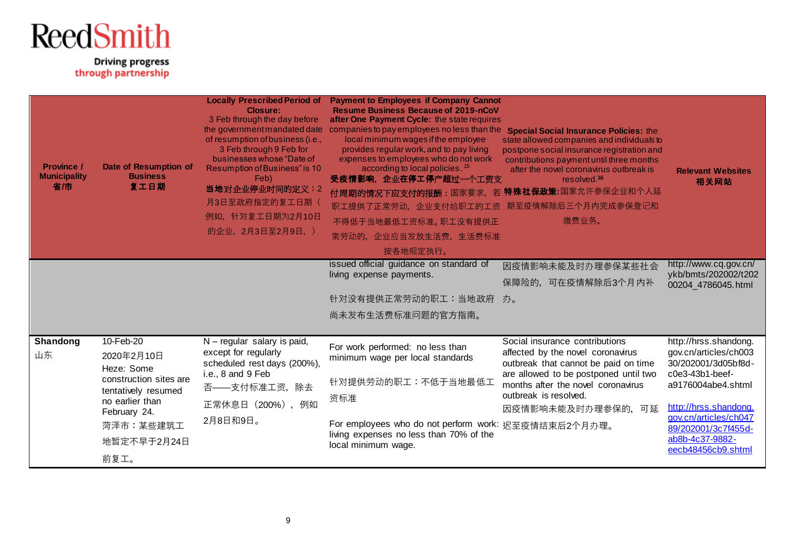| <b>Province /</b><br><b>Municipality</b><br>省市 | <b>Date of Resumption of</b><br><b>Business</b><br>复工日期 | <b>Locally Prescribed Period of</b><br><b>Closure:</b><br>3 Feb through the day before<br>the government mandated date<br>of resumption of business (i.e.,<br>3 Feb through 9 Feb for<br>businesses whose "Date of<br>Resumption of Business" is 10<br>Feb)<br>当地对企业停业时间的定义: 2<br>月3日至政府指定的复工日期(<br>例如, 针对复工日期为2月10日<br>的企业, 2月3日至2月9日, ) | <b>Payment to Employees if Company Cannot</b><br><b>Resume Business Because of 2019-nCoV</b><br>after One Payment Cycle: the state requires<br>companies to pay employees no less than the<br>local minimum wages if the employee<br>provides regular work, and to pay living<br>expenses to employees who do not work<br>according to local policies. <sup>15</sup><br>受疫情影响,企业在停工停产超过一个工资支<br>付周期的情况下应支付的报酬:国家要求,若特殊社保政策:国家允许参保企业和个人延<br>职工提供了正常劳动,企业支付给职工的工资<br>不得低于当地最低工资标准。职工没有提供正<br>常劳动的,企业应当发放生活费,生活费标准<br>按各地规定执行。 | <b>Special Social Insurance Policies: the</b><br>state allowed companies and individuals to<br>postpone social insurance registration and<br>contributions payment until three months<br>after the novel coronavirus outbreak is<br>resolved. <sup>16</sup><br>期至疫情解除后三个月内完成参保登记和<br>缴费业务。 | <b>Relevant Websites</b><br>相关网站                                      |
|------------------------------------------------|---------------------------------------------------------|-------------------------------------------------------------------------------------------------------------------------------------------------------------------------------------------------------------------------------------------------------------------------------------------------------------------------------------------|-----------------------------------------------------------------------------------------------------------------------------------------------------------------------------------------------------------------------------------------------------------------------------------------------------------------------------------------------------------------------------------------------------------------------------------------------------------------------------------------------------------------------------|--------------------------------------------------------------------------------------------------------------------------------------------------------------------------------------------------------------------------------------------------------------------------------------------|-----------------------------------------------------------------------|
|                                                |                                                         |                                                                                                                                                                                                                                                                                                                                           | issued official guidance on standard of<br>living expense payments.                                                                                                                                                                                                                                                                                                                                                                                                                                                         | 因疫情影响未能及时办理参保某些社会<br>保障险的, 可在疫情解除后3个月内补                                                                                                                                                                                                                                                    | http://www.cq.gov.cn/<br>ykb/bmts/202002/t202<br>00204 4786045.html   |
|                                                |                                                         |                                                                                                                                                                                                                                                                                                                                           | 针对没有提供正常劳动的职工:当地政府 办。                                                                                                                                                                                                                                                                                                                                                                                                                                                                                                       |                                                                                                                                                                                                                                                                                            |                                                                       |
|                                                |                                                         |                                                                                                                                                                                                                                                                                                                                           | 尚未发布生活费标准问题的官方指南。                                                                                                                                                                                                                                                                                                                                                                                                                                                                                                           |                                                                                                                                                                                                                                                                                            |                                                                       |
|                                                |                                                         |                                                                                                                                                                                                                                                                                                                                           |                                                                                                                                                                                                                                                                                                                                                                                                                                                                                                                             |                                                                                                                                                                                                                                                                                            |                                                                       |
| Shandong<br>山东                                 | 10-Feb-20<br>2020年2月10日<br>Heze: Some                   | N - regular salary is paid,<br>except for regularly<br>scheduled rest days (200%),                                                                                                                                                                                                                                                        | For work performed: no less than<br>minimum wage per local standards                                                                                                                                                                                                                                                                                                                                                                                                                                                        | Social insurance contributions<br>affected by the novel coronavirus<br>outbreak that cannot be paid on time                                                                                                                                                                                | http://hrss.shandong.<br>gov.cn/articles/ch003<br>30/202001/3d05bf8d- |
|                                                | construction sites are<br>tentatively resumed           | i.e., 8 and 9 Feb<br>否 -- 支付标准工资, 除去                                                                                                                                                                                                                                                                                                      | 针对提供劳动的职工:不低于当地最低工<br>资标准                                                                                                                                                                                                                                                                                                                                                                                                                                                                                                   | are allowed to be postponed until two<br>months after the novel coronavirus<br>outbreak is resolved.                                                                                                                                                                                       | c0e3-43b1-beef-<br>a9176004abe4.shtml                                 |
|                                                | no earlier than<br>February 24.                         | 正常休息日 (200%), 例如                                                                                                                                                                                                                                                                                                                          |                                                                                                                                                                                                                                                                                                                                                                                                                                                                                                                             | 因疫情影响未能及时办理参保的, 可延                                                                                                                                                                                                                                                                         | http://hrss.shandong.                                                 |
|                                                | 菏泽市:某些建筑工                                               | 2月8日和9日。                                                                                                                                                                                                                                                                                                                                  | For employees who do not perform work: 迟至疫情结束后2个月办理。<br>living expenses no less than 70% of the                                                                                                                                                                                                                                                                                                                                                                                                                             |                                                                                                                                                                                                                                                                                            | gov.cn/articles/ch047<br>89/202001/3c7f455d-                          |
|                                                | 地暂定不早于2月24日                                             |                                                                                                                                                                                                                                                                                                                                           | local minimum wage.                                                                                                                                                                                                                                                                                                                                                                                                                                                                                                         |                                                                                                                                                                                                                                                                                            | ab8b-4c37-9882-<br>eecb48456cb9.shtml                                 |
|                                                | 前复工。                                                    |                                                                                                                                                                                                                                                                                                                                           |                                                                                                                                                                                                                                                                                                                                                                                                                                                                                                                             |                                                                                                                                                                                                                                                                                            |                                                                       |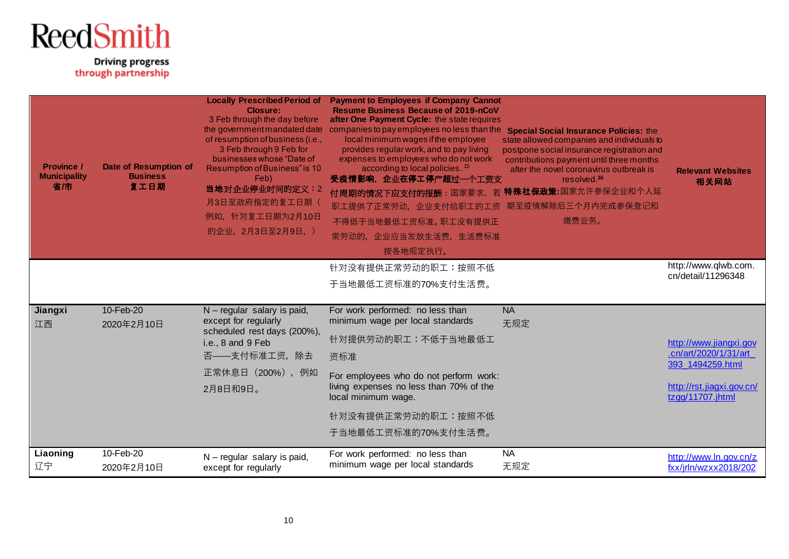| <b>Province /</b><br><b>Municipality</b><br>省庸 | <b>Date of Resumption of</b><br><b>Business</b><br>复工日期 | <b>Locally Prescribed Period of</b><br><b>Closure:</b><br>3 Feb through the day before<br>of resumption of business (i.e.,<br>3 Feb through 9 Feb for<br>businesses whose "Date of<br>Resumption of Business" is 10<br>Feb)<br>当地对企业停业时间的定义: 2<br>月3日至政府指定的复工日期(<br>例如, 针对复工日期为2月10日<br>的企业, 2月3日至2月9日, ) | <b>Payment to Employees if Company Cannot</b><br><b>Resume Business Because of 2019-nCoV</b><br>after One Payment Cycle: the state requires<br>the government mandated date companies to pay employees no less than the Special Social Insurance Policies: the<br>local minimum wages if the employee<br>provides regular work, and to pay living<br>expenses to employees who do not work<br>according to local policies. <sup>15</sup><br>受疫情影响, 企业在停工停产超过一个工资支<br>付周期的情况下应支付的报酬:国家要求,若特殊社保政策:国家允许参保企业和个人延<br>职工提供了正常劳动,企业支付给职工的工资<br>不得低于当地最低工资标准。职工没有提供正<br>常劳动的,企业应当发放生活费,生活费标准<br>按各地规定执行。 | state allowed companies and individuals to<br>postpone social insurance registration and<br>contributions payment until three months<br>after the novel coronavirus outbreak is<br>resolved. <sup>16</sup><br>期至疫情解除后三个月内完成参保登记和<br>缴费业务。 | <b>Relevant Websites</b><br>相关网站                |
|------------------------------------------------|---------------------------------------------------------|-----------------------------------------------------------------------------------------------------------------------------------------------------------------------------------------------------------------------------------------------------------------------------------------------------------|--------------------------------------------------------------------------------------------------------------------------------------------------------------------------------------------------------------------------------------------------------------------------------------------------------------------------------------------------------------------------------------------------------------------------------------------------------------------------------------------------------------------------------------------------------------------------------------------------|-------------------------------------------------------------------------------------------------------------------------------------------------------------------------------------------------------------------------------------------|-------------------------------------------------|
|                                                |                                                         |                                                                                                                                                                                                                                                                                                           | 针对没有提供正常劳动的职工:按照不低                                                                                                                                                                                                                                                                                                                                                                                                                                                                                                                                                                               |                                                                                                                                                                                                                                           | http://www.qlwb.com.<br>cn/detail/11296348      |
|                                                |                                                         |                                                                                                                                                                                                                                                                                                           | 于当地最低工资标准的70%支付生活费。                                                                                                                                                                                                                                                                                                                                                                                                                                                                                                                                                                              |                                                                                                                                                                                                                                           |                                                 |
|                                                |                                                         |                                                                                                                                                                                                                                                                                                           |                                                                                                                                                                                                                                                                                                                                                                                                                                                                                                                                                                                                  |                                                                                                                                                                                                                                           |                                                 |
| Jiangxi<br>江西                                  | 10-Feb-20<br>2020年2月10日                                 | N - regular salary is paid,<br>except for regularly                                                                                                                                                                                                                                                       | For work performed: no less than<br>minimum wage per local standards                                                                                                                                                                                                                                                                                                                                                                                                                                                                                                                             | <b>NA</b><br>无规定                                                                                                                                                                                                                          |                                                 |
|                                                |                                                         | scheduled rest days (200%),<br>i.e., 8 and 9 Feb                                                                                                                                                                                                                                                          | 针对提供劳动的职工:不低于当地最低工                                                                                                                                                                                                                                                                                                                                                                                                                                                                                                                                                                               |                                                                                                                                                                                                                                           | http://www.jiangxi.gov                          |
|                                                |                                                         | 否——支付标准工资,除去                                                                                                                                                                                                                                                                                              | 资标准                                                                                                                                                                                                                                                                                                                                                                                                                                                                                                                                                                                              |                                                                                                                                                                                                                                           | .cn/art/2020/1/31/art                           |
|                                                |                                                         | 正常休息日 (200%), 例如<br>2月8日和9日。                                                                                                                                                                                                                                                                              | For employees who do not perform work:<br>living expenses no less than 70% of the                                                                                                                                                                                                                                                                                                                                                                                                                                                                                                                |                                                                                                                                                                                                                                           | 393 1494259.html<br>http://rst.jiagxi.gov.cn/   |
|                                                |                                                         |                                                                                                                                                                                                                                                                                                           | local minimum wage.                                                                                                                                                                                                                                                                                                                                                                                                                                                                                                                                                                              |                                                                                                                                                                                                                                           | tzgg/11707.jhtml                                |
|                                                |                                                         |                                                                                                                                                                                                                                                                                                           | 针对没有提供正常劳动的职工:按照不低                                                                                                                                                                                                                                                                                                                                                                                                                                                                                                                                                                               |                                                                                                                                                                                                                                           |                                                 |
|                                                |                                                         |                                                                                                                                                                                                                                                                                                           | 于当地最低工资标准的70%支付生活费。                                                                                                                                                                                                                                                                                                                                                                                                                                                                                                                                                                              |                                                                                                                                                                                                                                           |                                                 |
| Liaoning<br>辽宁                                 | 10-Feb-20<br>2020年2月10日                                 | N - regular salary is paid,<br>except for regularly                                                                                                                                                                                                                                                       | For work performed: no less than<br>minimum wage per local standards                                                                                                                                                                                                                                                                                                                                                                                                                                                                                                                             | <b>NA</b><br>无规定                                                                                                                                                                                                                          | http://www.ln.gov.cn/z<br>fxx/jrln/wzxx2018/202 |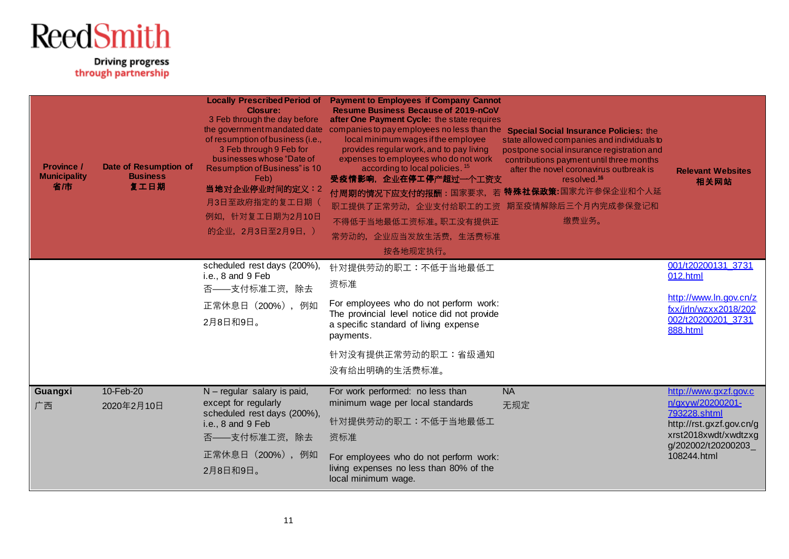| <b>Province /</b><br><b>Municipality</b><br>省市 | Date of Resumption of<br><b>Business</b><br>复工日期 | <b>Locally Prescribed Period of</b><br><b>Closure:</b><br>3 Feb through the day before<br>the government mandated date<br>of resumption of business (i.e.,<br>3 Feb through 9 Feb for<br>businesses whose "Date of<br>Resumption of Business" is 10<br>Feb)<br>当地对企业停业时间的定义: 2<br>月3日至政府指定的复工日期(<br>例如, 针对复工日期为2月10日<br>的企业, 2月3日至2月9日, ) | <b>Payment to Employees if Company Cannot</b><br><b>Resume Business Because of 2019-nCoV</b><br>after One Payment Cycle: the state requires<br>companies to pay employees no less than the<br>local minimum wages if the employee<br>provides regular work, and to pay living<br>expenses to employees who do not work<br>according to local policies. <sup>15</sup><br>受疫情影响,企业在停工停产超过一个工资支<br>付周期的情况下应支付的报酬:国家要求,若特殊社保政策:国家允许参保企业和个人延<br>职工提供了正常劳动,企业支付给职工的工资<br>不得低于当地最低工资标准。职工没有提供正<br>常劳动的, 企业应当发放生活费, 生活费标准<br>按各地规定执行。 | <b>Special Social Insurance Policies: the</b><br>state allowed companies and individuals to<br>postpone social insurance registration and<br>contributions payment until three months<br>after the novel coronavirus outbreak is<br>resolved. <sup>16</sup><br>期至疫情解除后三个月内完成参保登记和<br>缴费业务。 | <b>Relevant Websites</b><br>相关网站                                                                                                                    |
|------------------------------------------------|--------------------------------------------------|-------------------------------------------------------------------------------------------------------------------------------------------------------------------------------------------------------------------------------------------------------------------------------------------------------------------------------------------|-------------------------------------------------------------------------------------------------------------------------------------------------------------------------------------------------------------------------------------------------------------------------------------------------------------------------------------------------------------------------------------------------------------------------------------------------------------------------------------------------------------------------------|--------------------------------------------------------------------------------------------------------------------------------------------------------------------------------------------------------------------------------------------------------------------------------------------|-----------------------------------------------------------------------------------------------------------------------------------------------------|
|                                                |                                                  | scheduled rest days (200%),<br>i.e., 8 and 9 Feb<br>否 -- 支付标准工资, 除去<br>正常休息日 (200%), 例如<br>2月8日和9日。                                                                                                                                                                                                                                       | 针对提供劳动的职工:不低于当地最低工<br>资标准<br>For employees who do not perform work:<br>The provincial level notice did not provide<br>a specific standard of living expense<br>payments.<br>针对没有提供正常劳动的职工:省级通知<br>没有给出明确的生活费标准。                                                                                                                                                                                                                                                                                                               |                                                                                                                                                                                                                                                                                            | 001/t20200131 3731<br>012.html<br>http://www.ln.gov.cn/z<br>fxx/jrln/wzxx2018/202<br>002/t20200201 3731<br>888.html                                 |
| Guangxi<br>广西                                  | 10-Feb-20<br>2020年2月10日                          | N - regular salary is paid,<br>except for regularly<br>scheduled rest days (200%),<br>i.e., 8 and 9 Feb<br>否——支付标准工资, 除去<br>正常休息日 (200%), 例如<br>2月8日和9日。                                                                                                                                                                                  | For work performed: no less than<br>minimum wage per local standards<br>针对提供劳动的职工:不低于当地最低工<br>资标准<br>For employees who do not perform work:<br>living expenses no less than 80% of the<br>local minimum wage.                                                                                                                                                                                                                                                                                                                 | <b>NA</b><br>无规定                                                                                                                                                                                                                                                                           | http://www.gxzf.gov.c<br>n/gxyw/20200201-<br>793228.shtml<br>http://rst.gxzf.gov.cn/g<br>xrst2018xwdt/xwdtzxg<br>g/202002/t20200203_<br>108244.html |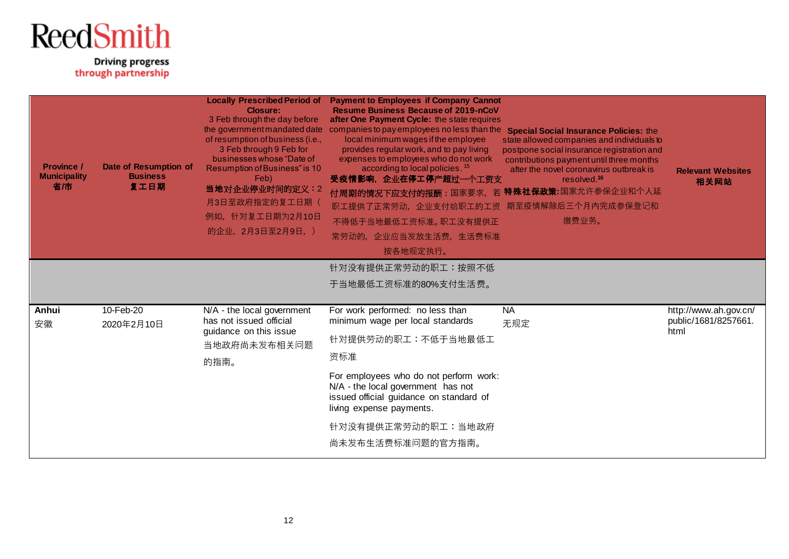| <b>Province /</b><br><b>Municipality</b><br>省市 | Date of Resumption of<br><b>Business</b><br>复工日期 | <b>Locally Prescribed Period of</b><br><b>Closure:</b><br>3 Feb through the day before<br>the government mandated date<br>of resumption of business (i.e.,<br>3 Feb through 9 Feb for<br>businesses whose "Date of<br>Resumption of Business" is 10<br>Feb)<br>当地对企业停业时间的定义: 2<br>月3日至政府指定的复工日期(<br>例如, 针对复工日期为2月10日<br>的企业, 2月3日至2月9日, ) | <b>Payment to Employees if Company Cannot</b><br><b>Resume Business Because of 2019-nCoV</b><br>after One Payment Cycle: the state requires<br>companies to pay employees no less than the Special Social Insurance Policies: the<br>local minimum wages if the employee<br>provides regular work, and to pay living<br>expenses to employees who do not work<br>according to local policies. <sup>15</sup><br>受疫情影响, 企业在停工停产超过一个工资支<br>付周期的情况下应支付的报酬:国家要求,若特殊社保政策:国家允许参保企业和个人延<br>职工提供了正常劳动,企业支付给职工的工资<br>不得低于当地最低工资标准。职工没有提供正<br>常劳动的,企业应当发放生活费,生活费标准<br>按各地规定执行。 | state allowed companies and individuals to<br>postpone social insurance registration and<br>contributions payment until three months<br>after the novel coronavirus outbreak is<br>resolved. <sup>16</sup><br>期至疫情解除后三个月内完成参保登记和<br>缴费业务。 | <b>Relevant Websites</b><br>相关网站                      |
|------------------------------------------------|--------------------------------------------------|-------------------------------------------------------------------------------------------------------------------------------------------------------------------------------------------------------------------------------------------------------------------------------------------------------------------------------------------|---------------------------------------------------------------------------------------------------------------------------------------------------------------------------------------------------------------------------------------------------------------------------------------------------------------------------------------------------------------------------------------------------------------------------------------------------------------------------------------------------------------------------------------------------------------------|-------------------------------------------------------------------------------------------------------------------------------------------------------------------------------------------------------------------------------------------|-------------------------------------------------------|
|                                                |                                                  |                                                                                                                                                                                                                                                                                                                                           | 针对没有提供正常劳动的职工:按照不低                                                                                                                                                                                                                                                                                                                                                                                                                                                                                                                                                  |                                                                                                                                                                                                                                           |                                                       |
|                                                |                                                  |                                                                                                                                                                                                                                                                                                                                           | 于当地最低工资标准的80%支付生活费。                                                                                                                                                                                                                                                                                                                                                                                                                                                                                                                                                 |                                                                                                                                                                                                                                           |                                                       |
| Anhui<br>安徽                                    | 10-Feb-20<br>2020年2月10日                          | N/A - the local government<br>has not issued official<br>guidance on this issue<br>当地政府尚未发布相关问题<br>的指南。                                                                                                                                                                                                                                   | For work performed: no less than<br>minimum wage per local standards<br>针对提供劳动的职工:不低于当地最低工<br>资标准<br>For employees who do not perform work:<br>N/A - the local government has not<br>issued official guidance on standard of<br>living expense payments.<br>针对没有提供正常劳动的职工:当地政府<br>尚未发布生活费标准问题的官方指南。                                                                                                                                                                                                                                                                 | <b>NA</b><br>无规定                                                                                                                                                                                                                          | http://www.ah.gov.cn/<br>public/1681/8257661.<br>html |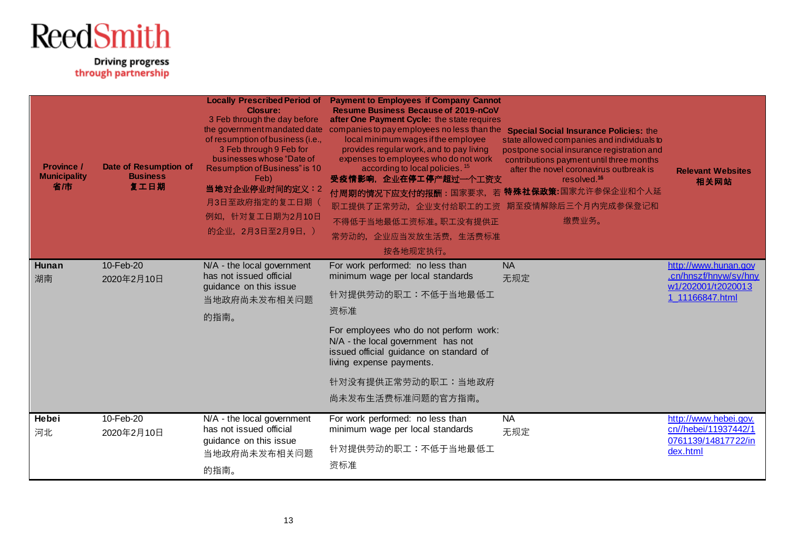| <b>Province /</b><br><b>Municipality</b><br>省庸 | Date of Resumption of<br><b>Business</b><br>复工日期 | <b>Locally Prescribed Period of</b><br><b>Closure:</b><br>3 Feb through the day before<br>of resumption of business (i.e.,<br>3 Feb through 9 Feb for<br>businesses whose "Date of<br>Resumption of Business" is 10<br>Feb)<br>当地对企业停业时间的定义: 2<br>月3日至政府指定的复工日期(<br>例如, 针对复工日期为2月10日<br>的企业, 2月3日至2月9日, ) | <b>Payment to Employees if Company Cannot</b><br><b>Resume Business Because of 2019-nCoV</b><br>after One Payment Cycle: the state requires<br>the government mandated date companies to pay employees no less than the<br>local minimum wages if the employee<br>provides regular work, and to pay living<br>expenses to employees who do not work<br>according to local policies. <sup>15</sup><br>受疫情影响,企业在停工停产超过一个工资支<br>付周期的情况下应支付的报酬:国家要求,若特殊社保政策:国家允许参保企业和个人延<br>职工提供了正常劳动,企业支付给职工的工资<br>不得低于当地最低工资标准。职工没有提供正<br>常劳动的, 企业应当发放生活费, 生活费标准<br>按各地规定执行。 | <b>Special Social Insurance Policies: the</b><br>state allowed companies and individuals to<br>postpone social insurance registration and<br>contributions payment until three months<br>after the novel coronavirus outbreak is<br>resolved. <sup>16</sup><br>期至疫情解除后三个月内完成参保登记和<br>缴费业务。 | <b>Relevant Websites</b><br>相关网站                                                       |
|------------------------------------------------|--------------------------------------------------|-----------------------------------------------------------------------------------------------------------------------------------------------------------------------------------------------------------------------------------------------------------------------------------------------------------|------------------------------------------------------------------------------------------------------------------------------------------------------------------------------------------------------------------------------------------------------------------------------------------------------------------------------------------------------------------------------------------------------------------------------------------------------------------------------------------------------------------------------------------------------------|--------------------------------------------------------------------------------------------------------------------------------------------------------------------------------------------------------------------------------------------------------------------------------------------|----------------------------------------------------------------------------------------|
| Hunan<br>湖南                                    | 10-Feb-20<br>2020年2月10日                          | N/A - the local government<br>has not issued official<br>guidance on this issue<br>当地政府尚未发布相关问题<br>的指南。                                                                                                                                                                                                   | For work performed: no less than<br>minimum wage per local standards<br>针对提供劳动的职工:不低于当地最低工<br>资标准<br>For employees who do not perform work:<br>N/A - the local government has not<br>issued official guidance on standard of<br>living expense payments.<br>针对没有提供正常劳动的职工:当地政府<br>尚未发布生活费标准问题的官方指南。                                                                                                                                                                                                                                                        | <b>NA</b><br>无规定                                                                                                                                                                                                                                                                           | http://www.hunan.gov<br>.cn/hnszf/hnyw/sy/hny<br>w1/202001/t2020013<br>1 11166847.html |
| Hebei<br>河北                                    | 10-Feb-20<br>2020年2月10日                          | N/A - the local government<br>has not issued official<br>guidance on this issue<br>当地政府尚未发布相关问题<br>的指南。                                                                                                                                                                                                   | For work performed: no less than<br>minimum wage per local standards<br>针对提供劳动的职工:不低于当地最低工<br>资标准                                                                                                                                                                                                                                                                                                                                                                                                                                                          | <b>NA</b><br>无规定                                                                                                                                                                                                                                                                           | http://www.hebei.gov.<br>cn//hebei/11937442/1<br>0761139/14817722/in<br>dex.html       |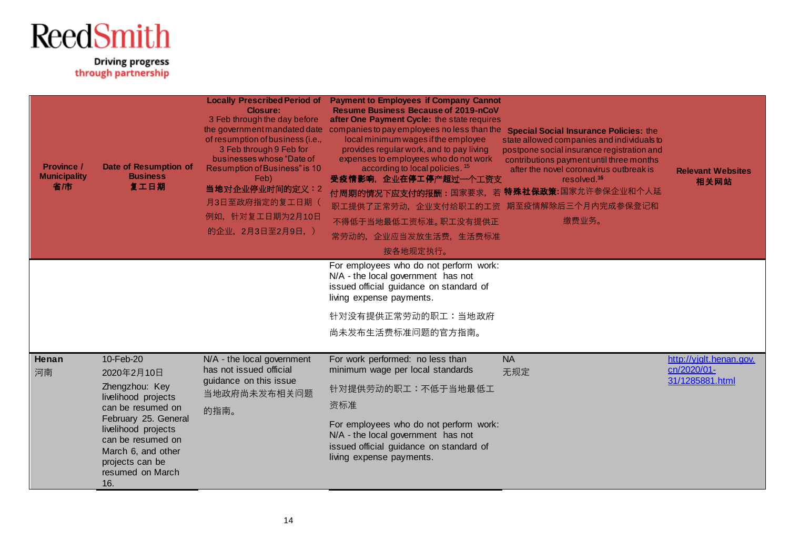| <b>Province /</b><br><b>Municipality</b><br>省伂 | Date of Resumption of<br><b>Business</b><br>复工日期                                                                                                                                                                              | Closure:<br>3 Feb through the day before<br>the government mandated date<br>of resumption of business (i.e.,<br>3 Feb through 9 Feb for<br>businesses whose "Date of<br>Resumption of Business" is 10<br>Feb)<br>当地对企业停业时间的定义: 2<br>月3日至政府指定的复工日期(<br>例如, 针对复工日期为2月10日<br>的企业, 2月3日至2月9日, ) | Locally Prescribed Period of Payment to Employees if Company Cannot<br><b>Resume Business Because of 2019-nCoV</b><br>after One Payment Cycle: the state requires<br>companies to pay employees no less than the<br>local minimum wages if the employee<br>provides regular work, and to pay living<br>expenses to employees who do not work<br>according to local policies. <sup>15</sup><br>受疫情影响, 企业在停工停产超过一个工资支<br>付周期的情况下应支付的报酬:国家要求,若特殊社保政策:国家允许参保企业和个人延<br>职工提供了正常劳动, 企业支付给职工的工资 期至疫情解除后三个月内完成参保登记和<br>不得低于当地最低工资标准。职工没有提供正<br>常劳动的, 企业应当发放生活费, 生活费标准<br>按各地规定执行。 | <b>Special Social Insurance Policies: the</b><br>state allowed companies and individuals to<br>postpone social insurance registration and<br>contributions payment until three months<br>after the novel coronavirus outbreak is<br>resolved. <sup>16</sup><br>缴费业务。 | <b>Relevant Websites</b><br>相关网站                          |
|------------------------------------------------|-------------------------------------------------------------------------------------------------------------------------------------------------------------------------------------------------------------------------------|---------------------------------------------------------------------------------------------------------------------------------------------------------------------------------------------------------------------------------------------------------------------------------------------|--------------------------------------------------------------------------------------------------------------------------------------------------------------------------------------------------------------------------------------------------------------------------------------------------------------------------------------------------------------------------------------------------------------------------------------------------------------------------------------------------------------------------------------------------------------------------|----------------------------------------------------------------------------------------------------------------------------------------------------------------------------------------------------------------------------------------------------------------------|-----------------------------------------------------------|
|                                                |                                                                                                                                                                                                                               |                                                                                                                                                                                                                                                                                             | For employees who do not perform work:<br>N/A - the local government has not<br>issued official guidance on standard of<br>living expense payments.<br>针对没有提供正常劳动的职工:当地政府<br>尚未发布生活费标准问题的官方指南。                                                                                                                                                                                                                                                                                                                                                                           |                                                                                                                                                                                                                                                                      |                                                           |
| Henan<br>河南                                    | 10-Feb-20<br>2020年2月10日<br>Zhengzhou: Key<br>livelihood projects<br>can be resumed on<br>February 25. General<br>livelihood projects<br>can be resumed on<br>March 6, and other<br>projects can be<br>resumed on March<br>16. | N/A - the local government<br>has not issued official<br>guidance on this issue<br>当地政府尚未发布相关问题<br>的指南。                                                                                                                                                                                     | For work performed: no less than<br>minimum wage per local standards<br>针对提供劳动的职工:不低于当地最低工<br>资标准<br>For employees who do not perform work:<br>N/A - the local government has not<br>issued official guidance on standard of<br>living expense payments.                                                                                                                                                                                                                                                                                                                 | <b>NA</b><br>无规定                                                                                                                                                                                                                                                     | http://yiglt.henan.gov.<br>cn/2020/01-<br>31/1285881.html |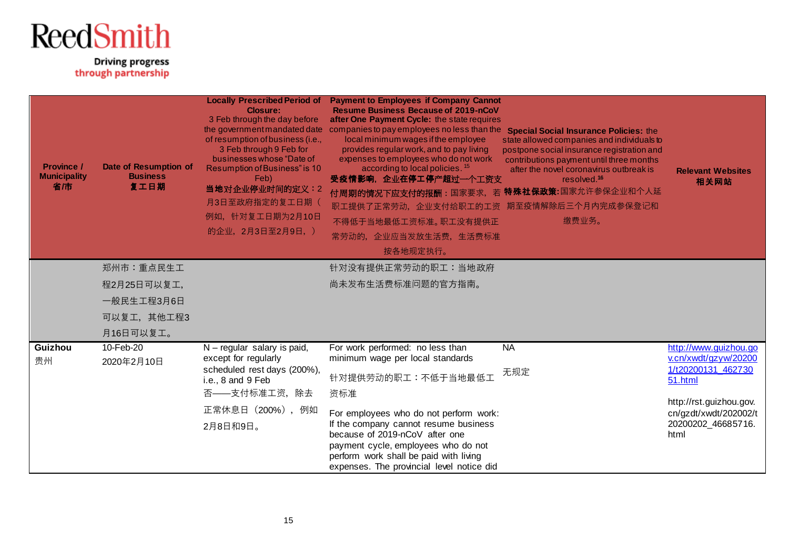| <b>Province /</b><br><b>Municipality</b><br>省庸 | <b>Date of Resumption of</b><br><b>Business</b><br>复工日期 | <b>Locally Prescribed Period of</b><br><b>Closure:</b><br>3 Feb through the day before<br>the government mandated date<br>of resumption of business (i.e.,<br>3 Feb through 9 Feb for<br>businesses whose "Date of<br>Resumption of Business" is 10<br>Feb)<br>当地对企业停业时间的定义: 2<br>月3日至政府指定的复工日期(<br>例如, 针对复工日期为2月10日<br>的企业, 2月3日至2月9日, ) | <b>Payment to Employees if Company Cannot</b><br><b>Resume Business Because of 2019-nCoV</b><br>after One Payment Cycle: the state requires<br>companies to pay employees no less than the Special Social Insurance Policies: the<br>local minimum wages if the employee<br>provides regular work, and to pay living<br>expenses to employees who do not work<br>according to local policies. <sup>15</sup><br>受疫情影响,企业在停工停产超过一个工资支<br>付周期的情况下应支付的报酬:国家要求,若特殊社保政策:国家允许参保企业和个人延<br>职工提供了正常劳动,企业支付给职工的工资<br>不得低于当地最低工资标准。职工没有提供正<br>常劳动的, 企业应当发放生活费, 生活费标准<br>按各地规定执行。 | state allowed companies and individuals to<br>postpone social insurance registration and<br>contributions payment until three months<br>after the novel coronavirus outbreak is<br>resolved. <sup>16</sup><br>期至疫情解除后三个月内完成参保登记和<br>缴费业务。 | <b>Relevant Websites</b><br>相关网站              |
|------------------------------------------------|---------------------------------------------------------|-------------------------------------------------------------------------------------------------------------------------------------------------------------------------------------------------------------------------------------------------------------------------------------------------------------------------------------------|----------------------------------------------------------------------------------------------------------------------------------------------------------------------------------------------------------------------------------------------------------------------------------------------------------------------------------------------------------------------------------------------------------------------------------------------------------------------------------------------------------------------------------------------------------------------|-------------------------------------------------------------------------------------------------------------------------------------------------------------------------------------------------------------------------------------------|-----------------------------------------------|
|                                                | 郑州市:重点民生工                                               |                                                                                                                                                                                                                                                                                                                                           | 针对没有提供正常劳动的职工:当地政府                                                                                                                                                                                                                                                                                                                                                                                                                                                                                                                                                   |                                                                                                                                                                                                                                           |                                               |
|                                                | 程2月25日可以复工,                                             |                                                                                                                                                                                                                                                                                                                                           | 尚未发布生活费标准问题的官方指南。                                                                                                                                                                                                                                                                                                                                                                                                                                                                                                                                                    |                                                                                                                                                                                                                                           |                                               |
|                                                | 一般民生工程3月6日                                              |                                                                                                                                                                                                                                                                                                                                           |                                                                                                                                                                                                                                                                                                                                                                                                                                                                                                                                                                      |                                                                                                                                                                                                                                           |                                               |
|                                                | 可以复工,其他工程3                                              |                                                                                                                                                                                                                                                                                                                                           |                                                                                                                                                                                                                                                                                                                                                                                                                                                                                                                                                                      |                                                                                                                                                                                                                                           |                                               |
|                                                | 月16日可以复工。                                               |                                                                                                                                                                                                                                                                                                                                           |                                                                                                                                                                                                                                                                                                                                                                                                                                                                                                                                                                      |                                                                                                                                                                                                                                           |                                               |
| Guizhou<br>贵州                                  | 10-Feb-20                                               | $N$ – regular salary is paid,<br>except for regularly                                                                                                                                                                                                                                                                                     | For work performed: no less than<br>minimum wage per local standards                                                                                                                                                                                                                                                                                                                                                                                                                                                                                                 | <b>NA</b>                                                                                                                                                                                                                                 | http://www.guizhou.go<br>v.cn/xwdt/gzyw/20200 |
|                                                | 2020年2月10日                                              | scheduled rest days (200%),<br>i.e., 8 and 9 Feb                                                                                                                                                                                                                                                                                          | 针对提供劳动的职工:不低于当地最低工                                                                                                                                                                                                                                                                                                                                                                                                                                                                                                                                                   | 无规定                                                                                                                                                                                                                                       | 1/t20200131 462730<br>51.html                 |
|                                                |                                                         | 否——支付标准工资, 除去                                                                                                                                                                                                                                                                                                                             | 资标准                                                                                                                                                                                                                                                                                                                                                                                                                                                                                                                                                                  |                                                                                                                                                                                                                                           | http://rst.guizhou.gov.                       |
|                                                |                                                         | 正常休息日 (200%), 例如                                                                                                                                                                                                                                                                                                                          | For employees who do not perform work:                                                                                                                                                                                                                                                                                                                                                                                                                                                                                                                               |                                                                                                                                                                                                                                           | cn/gzdt/xwdt/202002/t                         |
|                                                |                                                         | 2月8日和9日。                                                                                                                                                                                                                                                                                                                                  | If the company cannot resume business<br>because of 2019-nCoV after one<br>payment cycle, employees who do not                                                                                                                                                                                                                                                                                                                                                                                                                                                       |                                                                                                                                                                                                                                           | 20200202_46685716.<br>html                    |
|                                                |                                                         |                                                                                                                                                                                                                                                                                                                                           | perform work shall be paid with living<br>expenses. The provincial level notice did                                                                                                                                                                                                                                                                                                                                                                                                                                                                                  |                                                                                                                                                                                                                                           |                                               |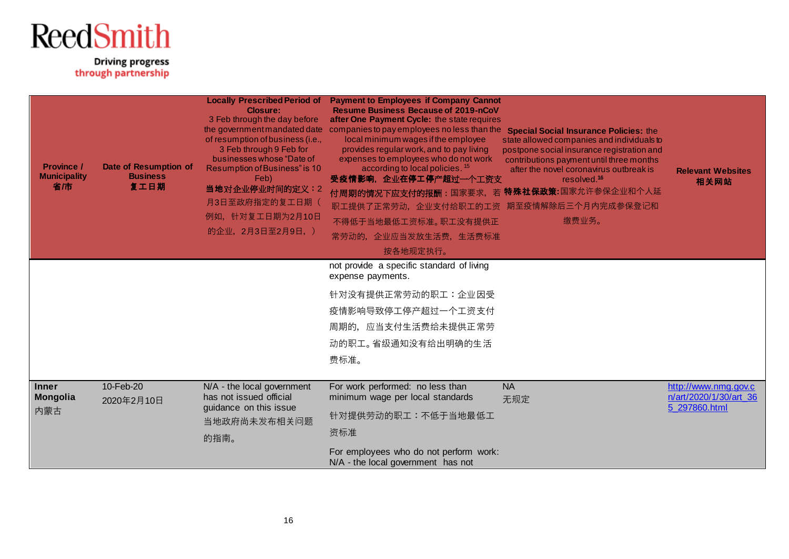| <b>Province /</b><br><b>Municipality</b><br>省市 | <b>Date of Resumption of</b><br><b>Business</b><br>复工日期 | <b>Locally Prescribed Period of</b><br><b>Closure:</b><br>3 Feb through the day before<br>of resumption of business (i.e.,<br>3 Feb through 9 Feb for<br>businesses whose "Date of<br>Resumption of Business" is 10<br>Feb)<br>当地对企业停业时间的定义: 2<br>月3日至政府指定的复工日期(<br>例如, 针对复工日期为2月10日<br>的企业, 2月3日至2月9日, ) | <b>Payment to Employees if Company Cannot</b><br><b>Resume Business Because of 2019-nCoV</b><br>after One Payment Cycle: the state requires<br>the government mandated date companies to pay employees no less than the Special Social Insurance Policies: the<br>local minimum wages if the employee<br>provides regular work, and to pay living<br>expenses to employees who do not work<br>according to local policies. <sup>15</sup><br>受疫情影响,企业在停工停产超过一个工资支<br>付周期的情况下应支付的报酬:国家要求,若特殊社保政策:国家允许参保企业和个人延<br>职工提供了正常劳动,企业支付给职工的工资<br>不得低于当地最低工资标准。职工没有提供正<br>常劳动的,企业应当发放生活费,生活费标准<br>按各地规定执行。 | state allowed companies and individuals to<br>postpone social insurance registration and<br>contributions payment until three months<br>after the novel coronavirus outbreak is<br>resolved. <sup>16</sup><br>期至疫情解除后三个月内完成参保登记和<br>缴费业务。 | <b>Relevant Websites</b><br>相关网站               |
|------------------------------------------------|---------------------------------------------------------|-----------------------------------------------------------------------------------------------------------------------------------------------------------------------------------------------------------------------------------------------------------------------------------------------------------|-------------------------------------------------------------------------------------------------------------------------------------------------------------------------------------------------------------------------------------------------------------------------------------------------------------------------------------------------------------------------------------------------------------------------------------------------------------------------------------------------------------------------------------------------------------------------------------------------|-------------------------------------------------------------------------------------------------------------------------------------------------------------------------------------------------------------------------------------------|------------------------------------------------|
|                                                |                                                         |                                                                                                                                                                                                                                                                                                           | not provide a specific standard of living<br>expense payments.                                                                                                                                                                                                                                                                                                                                                                                                                                                                                                                                  |                                                                                                                                                                                                                                           |                                                |
|                                                |                                                         |                                                                                                                                                                                                                                                                                                           | 针对没有提供正常劳动的职工:企业因受                                                                                                                                                                                                                                                                                                                                                                                                                                                                                                                                                                              |                                                                                                                                                                                                                                           |                                                |
|                                                |                                                         |                                                                                                                                                                                                                                                                                                           | 疫情影响导致停工停产超过一个工资支付                                                                                                                                                                                                                                                                                                                                                                                                                                                                                                                                                                              |                                                                                                                                                                                                                                           |                                                |
|                                                |                                                         |                                                                                                                                                                                                                                                                                                           | 周期的, 应当支付生活费给未提供正常劳                                                                                                                                                                                                                                                                                                                                                                                                                                                                                                                                                                             |                                                                                                                                                                                                                                           |                                                |
|                                                |                                                         |                                                                                                                                                                                                                                                                                                           | 动的职工。省级通知没有给出明确的生活                                                                                                                                                                                                                                                                                                                                                                                                                                                                                                                                                                              |                                                                                                                                                                                                                                           |                                                |
|                                                |                                                         |                                                                                                                                                                                                                                                                                                           | 费标准。                                                                                                                                                                                                                                                                                                                                                                                                                                                                                                                                                                                            |                                                                                                                                                                                                                                           |                                                |
| <b>Inner</b><br><b>Mongolia</b>                | 10-Feb-20<br>2020年2月10日                                 | N/A - the local government<br>has not issued official                                                                                                                                                                                                                                                     | For work performed: no less than<br>minimum wage per local standards                                                                                                                                                                                                                                                                                                                                                                                                                                                                                                                            | <b>NA</b><br>无规定                                                                                                                                                                                                                          | http://www.nmg.gov.c<br>n/art/2020/1/30/art 36 |
| 内蒙古                                            |                                                         | guidance on this issue<br>当地政府尚未发布相关问题                                                                                                                                                                                                                                                                    | 针对提供劳动的职工:不低于当地最低工                                                                                                                                                                                                                                                                                                                                                                                                                                                                                                                                                                              |                                                                                                                                                                                                                                           | 5 297860.html                                  |
|                                                |                                                         | 的指南。                                                                                                                                                                                                                                                                                                      | 资标准                                                                                                                                                                                                                                                                                                                                                                                                                                                                                                                                                                                             |                                                                                                                                                                                                                                           |                                                |
|                                                |                                                         |                                                                                                                                                                                                                                                                                                           | For employees who do not perform work:<br>N/A - the local government has not                                                                                                                                                                                                                                                                                                                                                                                                                                                                                                                    |                                                                                                                                                                                                                                           |                                                |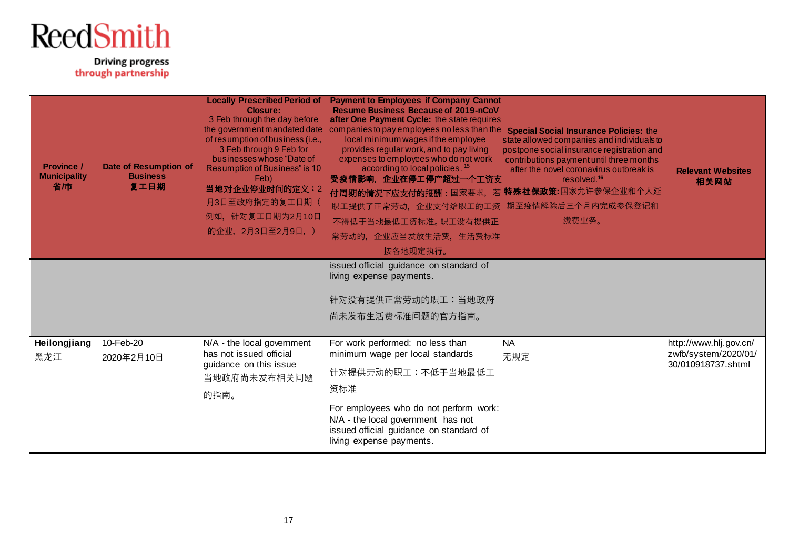| <b>Province /</b><br><b>Municipality</b><br>省市 | Date of Resumption of<br><b>Business</b><br>复工日期 | <b>Locally Prescribed Period of</b><br><b>Closure:</b><br>3 Feb through the day before<br>the government mandated date<br>of resumption of business (i.e.,<br>3 Feb through 9 Feb for<br>businesses whose "Date of<br>Resumption of Business" is 10<br>Feb)<br>当地对企业停业时间的定义: 2<br>月3日至政府指定的复工日期(<br>例如, 针对复工日期为2月10日<br>的企业, 2月3日至2月9日, ) | <b>Payment to Employees if Company Cannot</b><br><b>Resume Business Because of 2019-nCoV</b><br>after One Payment Cycle: the state requires<br>companies to pay employees no less than the Special Social Insurance Policies: the<br>local minimum wages if the employee<br>provides regular work, and to pay living<br>expenses to employees who do not work<br>according to local policies. <sup>15</sup><br>受疫情影响,企业在停工停产超过一个工资支<br>付周期的情况下应支付的报酬:国家要求,若 特殊社保政策:国家允许参保企业和个人延<br>职工提供了正常劳动,企业支付给职工的工资<br>不得低于当地最低工资标准。职工没有提供正<br>常劳动的,企业应当发放生活费,生活费标准<br>按各地规定执行。 | state allowed companies and individuals to<br>postpone social insurance registration and<br>contributions payment until three months<br>after the novel coronavirus outbreak is<br>resolved. <sup>16</sup><br>期至疫情解除后三个月内完成参保登记和<br>缴费业务。 | <b>Relevant Websites</b><br>相关网站                                     |
|------------------------------------------------|--------------------------------------------------|-------------------------------------------------------------------------------------------------------------------------------------------------------------------------------------------------------------------------------------------------------------------------------------------------------------------------------------------|---------------------------------------------------------------------------------------------------------------------------------------------------------------------------------------------------------------------------------------------------------------------------------------------------------------------------------------------------------------------------------------------------------------------------------------------------------------------------------------------------------------------------------------------------------------------|-------------------------------------------------------------------------------------------------------------------------------------------------------------------------------------------------------------------------------------------|----------------------------------------------------------------------|
|                                                |                                                  |                                                                                                                                                                                                                                                                                                                                           | issued official guidance on standard of<br>living expense payments.<br>针对没有提供正常劳动的职工:当地政府<br>尚未发布生活费标准问题的官方指南。                                                                                                                                                                                                                                                                                                                                                                                                                                                      |                                                                                                                                                                                                                                           |                                                                      |
| Heilongjiang<br>黑龙江                            | 10-Feb-20<br>2020年2月10日                          | N/A - the local government<br>has not issued official<br>guidance on this issue<br>当地政府尚未发布相关问题<br>的指南。                                                                                                                                                                                                                                   | For work performed: no less than<br>minimum wage per local standards<br>针对提供劳动的职工:不低于当地最低工<br>资标准<br>For employees who do not perform work:<br>N/A - the local government has not<br>issued official guidance on standard of<br>living expense payments.                                                                                                                                                                                                                                                                                                            | <b>NA</b><br>无规定                                                                                                                                                                                                                          | http://www.hlj.gov.cn/<br>zwfb/system/2020/01/<br>30/010918737.shtml |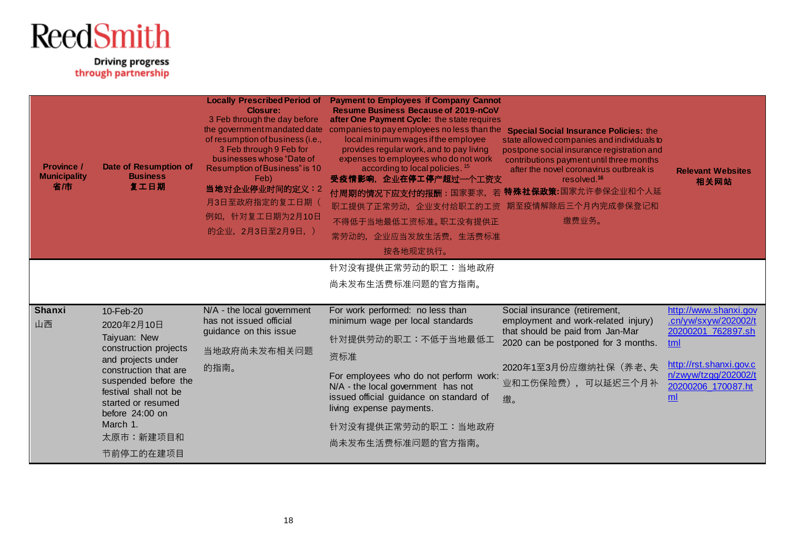| <b>Province /</b><br><b>Municipality</b><br>省庸 | <b>Date of Resumption of</b><br><b>Business</b><br>复工日期        | <b>Locally Prescribed Period of</b><br>Closure:<br>3 Feb through the day before<br>the government mandated date<br>of resumption of business (i.e.,<br>3 Feb through 9 Feb for<br>businesses whose "Date of<br>Resumption of Business" is 10<br>Feb)<br>当地对企业停业时间的定义: 2<br>月3日至政府指定的复工日期(<br>例如, 针对复工日期为2月10日<br>的企业, 2月3日至2月9日, ) | <b>Payment to Employees if Company Cannot</b><br><b>Resume Business Because of 2019-nCoV</b><br>after One Payment Cycle: the state requires<br>companies to pay employees no less than the Special Social Insurance Policies: the<br>local minimum wages if the employee<br>provides regular work, and to pay living<br>expenses to employees who do not work<br>according to local policies. <sup>15</sup><br>受疫情影响,企业在停工停产超过一个工资支<br>付周期的情况下应支付的报酬:国家要求,若特殊社保政策:国家允许参保企业和个人延<br>职工提供了正常劳动,企业支付给职工的工资<br>不得低于当地最低工资标准。职工没有提供正<br>常劳动的,企业应当发放生活费,生活费标准<br>按各地规定执行。 | state allowed companies and individuals to<br>postpone social insurance registration and<br>contributions payment until three months<br>after the novel coronavirus outbreak is<br>resolved. <sup>16</sup><br>期至疫情解除后三个月内完成参保登记和<br>缴费业务。 | <b>Relevant Websites</b><br>相关网站              |
|------------------------------------------------|----------------------------------------------------------------|------------------------------------------------------------------------------------------------------------------------------------------------------------------------------------------------------------------------------------------------------------------------------------------------------------------------------------|--------------------------------------------------------------------------------------------------------------------------------------------------------------------------------------------------------------------------------------------------------------------------------------------------------------------------------------------------------------------------------------------------------------------------------------------------------------------------------------------------------------------------------------------------------------------|-------------------------------------------------------------------------------------------------------------------------------------------------------------------------------------------------------------------------------------------|-----------------------------------------------|
|                                                |                                                                |                                                                                                                                                                                                                                                                                                                                    | 针对没有提供正常劳动的职工:当地政府                                                                                                                                                                                                                                                                                                                                                                                                                                                                                                                                                 |                                                                                                                                                                                                                                           |                                               |
|                                                |                                                                |                                                                                                                                                                                                                                                                                                                                    | 尚未发布生活费标准问题的官方指南。                                                                                                                                                                                                                                                                                                                                                                                                                                                                                                                                                  |                                                                                                                                                                                                                                           |                                               |
|                                                |                                                                |                                                                                                                                                                                                                                                                                                                                    |                                                                                                                                                                                                                                                                                                                                                                                                                                                                                                                                                                    |                                                                                                                                                                                                                                           |                                               |
| <b>Shanxi</b><br>山西                            | 10-Feb-20<br>2020年2月10日                                        | N/A - the local government<br>has not issued official                                                                                                                                                                                                                                                                              | For work performed: no less than<br>minimum wage per local standards                                                                                                                                                                                                                                                                                                                                                                                                                                                                                               | Social insurance (retirement,<br>employment and work-related injury)                                                                                                                                                                      | http://www.shanxi.gov<br>.cn/yw/sxyw/202002/t |
|                                                | Taiyuan: New                                                   | guidance on this issue                                                                                                                                                                                                                                                                                                             | 针对提供劳动的职工:不低于当地最低工                                                                                                                                                                                                                                                                                                                                                                                                                                                                                                                                                 | that should be paid from Jan-Mar                                                                                                                                                                                                          | 20200201 762897.sh                            |
|                                                | construction projects                                          | 当地政府尚未发布相关问题                                                                                                                                                                                                                                                                                                                       | 资标准                                                                                                                                                                                                                                                                                                                                                                                                                                                                                                                                                                | 2020 can be postponed for 3 months.                                                                                                                                                                                                       | tml                                           |
|                                                | and projects under<br>construction that are                    | 的指南。                                                                                                                                                                                                                                                                                                                               |                                                                                                                                                                                                                                                                                                                                                                                                                                                                                                                                                                    | 2020年1至3月份应缴纳社保(养老、失                                                                                                                                                                                                                      | http://rst.shanxi.gov.c                       |
|                                                | suspended before the                                           |                                                                                                                                                                                                                                                                                                                                    | For employees who do not perform work:<br>N/A - the local government has not                                                                                                                                                                                                                                                                                                                                                                                                                                                                                       | 业和工伤保险费), 可以延迟三个月补                                                                                                                                                                                                                        | n/zwyw/tzgg/202002/t<br>20200206 170087.ht    |
|                                                | festival shall not be<br>started or resumed<br>before 24:00 on |                                                                                                                                                                                                                                                                                                                                    | issued official guidance on standard of<br>living expense payments.                                                                                                                                                                                                                                                                                                                                                                                                                                                                                                | 缴。                                                                                                                                                                                                                                        | ml                                            |
|                                                | March 1.                                                       |                                                                                                                                                                                                                                                                                                                                    | 针对没有提供正常劳动的职工:当地政府                                                                                                                                                                                                                                                                                                                                                                                                                                                                                                                                                 |                                                                                                                                                                                                                                           |                                               |
|                                                | 太原市:新建项目和<br>节前停工的在建项目                                         |                                                                                                                                                                                                                                                                                                                                    | 尚未发布生活费标准问题的官方指南。                                                                                                                                                                                                                                                                                                                                                                                                                                                                                                                                                  |                                                                                                                                                                                                                                           |                                               |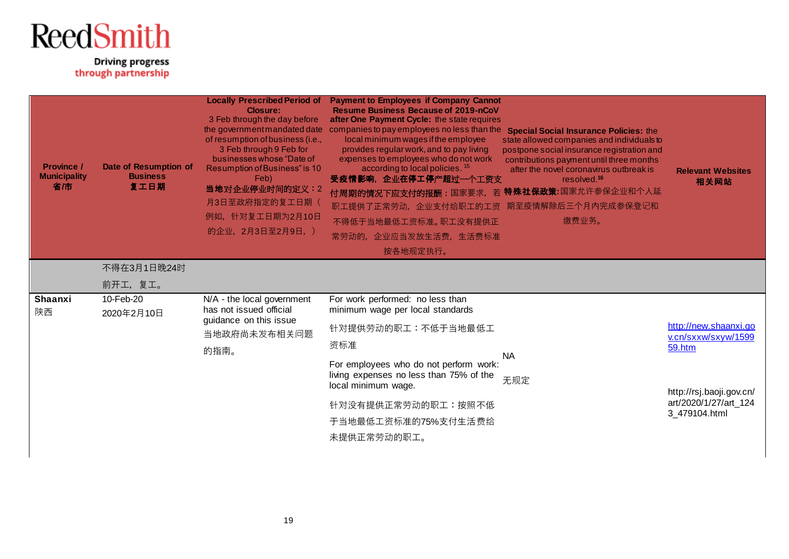| <b>Province /</b><br><b>Municipality</b><br>省市 | Date of Resumption of<br><b>Business</b><br>复工日期 | <b>Locally Prescribed Period of</b><br><b>Closure:</b><br>3 Feb through the day before<br>the government mandated date<br>of resumption of business (i.e.,<br>3 Feb through 9 Feb for<br>businesses whose "Date of<br>Resumption of Business" is 10<br>Feb)<br>当地对企业停业时间的定义: 2<br>月3日至政府指定的复工日期(<br>例如, 针对复工日期为2月10日<br>的企业, 2月3日至2月9日, ) | <b>Payment to Employees if Company Cannot</b><br><b>Resume Business Because of 2019-nCoV</b><br>after One Payment Cycle: the state requires<br>companies to pay employees no less than the Special Social Insurance Policies: the<br>local minimum wages if the employee<br>provides regular work, and to pay living<br>expenses to employees who do not work<br>according to local policies. <sup>15</sup><br>受疫情影响,企业在停工停产超过一个工资支<br>付周期的情况下应支付的报酬:国家要求,若特殊社保政策:国家允许参保企业和个人延<br>职工提供了正常劳动,企业支付给职工的工资<br>不得低于当地最低工资标准。职工没有提供正<br>常劳动的, 企业应当发放生活费, 生活费标准<br>按各地规定执行。 | state allowed companies and individuals to<br>postpone social insurance registration and<br>contributions payment until three months<br>after the novel coronavirus outbreak is<br>resolved. <sup>16</sup><br>期至疫情解除后三个月内完成参保登记和<br>缴费业务。 | <b>Relevant Websites</b><br>相关网站                       |
|------------------------------------------------|--------------------------------------------------|-------------------------------------------------------------------------------------------------------------------------------------------------------------------------------------------------------------------------------------------------------------------------------------------------------------------------------------------|----------------------------------------------------------------------------------------------------------------------------------------------------------------------------------------------------------------------------------------------------------------------------------------------------------------------------------------------------------------------------------------------------------------------------------------------------------------------------------------------------------------------------------------------------------------------|-------------------------------------------------------------------------------------------------------------------------------------------------------------------------------------------------------------------------------------------|--------------------------------------------------------|
|                                                | 不得在3月1日晚24时                                      |                                                                                                                                                                                                                                                                                                                                           |                                                                                                                                                                                                                                                                                                                                                                                                                                                                                                                                                                      |                                                                                                                                                                                                                                           |                                                        |
|                                                | 前开工, 复工。                                         |                                                                                                                                                                                                                                                                                                                                           |                                                                                                                                                                                                                                                                                                                                                                                                                                                                                                                                                                      |                                                                                                                                                                                                                                           |                                                        |
| Shaanxi<br>陕西                                  | 10-Feb-20<br>2020年2月10日                          | N/A - the local government<br>has not issued official                                                                                                                                                                                                                                                                                     | For work performed: no less than<br>minimum wage per local standards                                                                                                                                                                                                                                                                                                                                                                                                                                                                                                 |                                                                                                                                                                                                                                           |                                                        |
|                                                |                                                  | guidance on this issue<br>当地政府尚未发布相关问题<br>的指南。                                                                                                                                                                                                                                                                                            | 针对提供劳动的职工:不低于当地最低工<br>资标准                                                                                                                                                                                                                                                                                                                                                                                                                                                                                                                                            |                                                                                                                                                                                                                                           | http://new.shaanxi.go<br>v.cn/sxxw/sxyw/1599<br>59.htm |
|                                                |                                                  |                                                                                                                                                                                                                                                                                                                                           | For employees who do not perform work:<br>living expenses no less than 75% of the<br>local minimum wage.                                                                                                                                                                                                                                                                                                                                                                                                                                                             | <b>NA</b><br>无规定                                                                                                                                                                                                                          | http://rsj.baoji.gov.cn/                               |
|                                                |                                                  |                                                                                                                                                                                                                                                                                                                                           | 针对没有提供正常劳动的职工:按照不低                                                                                                                                                                                                                                                                                                                                                                                                                                                                                                                                                   |                                                                                                                                                                                                                                           | art/2020/1/27/art_124                                  |
|                                                |                                                  |                                                                                                                                                                                                                                                                                                                                           | 于当地最低工资标准的75%支付生活费给                                                                                                                                                                                                                                                                                                                                                                                                                                                                                                                                                  |                                                                                                                                                                                                                                           | 3_479104.html                                          |
|                                                |                                                  |                                                                                                                                                                                                                                                                                                                                           | 未提供正常劳动的职工。                                                                                                                                                                                                                                                                                                                                                                                                                                                                                                                                                          |                                                                                                                                                                                                                                           |                                                        |
|                                                |                                                  |                                                                                                                                                                                                                                                                                                                                           |                                                                                                                                                                                                                                                                                                                                                                                                                                                                                                                                                                      |                                                                                                                                                                                                                                           |                                                        |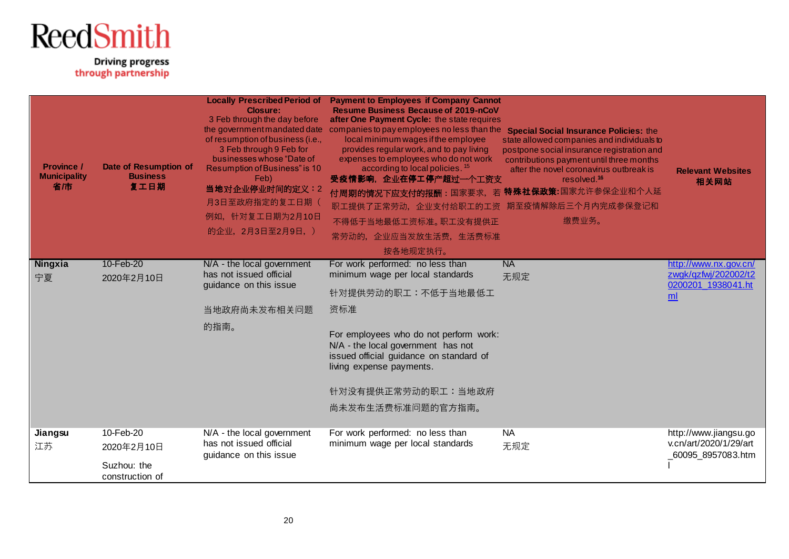| <b>Province /</b><br><b>Municipality</b><br>省庸 | <b>Date of Resumption of</b><br><b>Business</b><br>复工日期 | <b>Locally Prescribed Period of</b><br><b>Closure:</b><br>3 Feb through the day before<br>the government mandated date<br>of resumption of business (i.e.,<br>3 Feb through 9 Feb for<br>businesses whose "Date of<br>Resumption of Business" is 10<br>Feb)<br>当地对企业停业时间的定义: 2<br>月3日至政府指定的复工日期(<br>例如, 针对复工日期为2月10日<br>的企业, 2月3日至2月9日, ) | <b>Payment to Employees if Company Cannot</b><br><b>Resume Business Because of 2019-nCoV</b><br>after One Payment Cycle: the state requires<br>companies to pay employees no less than the<br>local minimum wages if the employee<br>provides regular work, and to pay living<br>expenses to employees who do not work<br>according to local policies. <sup>15</sup><br>受疫情影响,企业在停工停产超过一个工资支<br>付周期的情况下应支付的报酬:国家要求,若<br>职工提供了正常劳动, 企业支付给职工的工资<br>不得低于当地最低工资标准。职工没有提供正<br>常劳动的, 企业应当发放生活费, 生活费标准<br>按各地规定执行。 | <b>Special Social Insurance Policies: the</b><br>state allowed companies and individuals to<br>postpone social insurance registration and<br>contributions payment until three months<br>after the novel coronavirus outbreak is<br>resolved. <sup>16</sup><br>特殊社保政策:国家允许参保企业和个人延<br>期至疫情解除后三个月内完成参保登记和<br>缴费业务。 | <b>Relevant Websites</b><br>相关网站                                     |
|------------------------------------------------|---------------------------------------------------------|-------------------------------------------------------------------------------------------------------------------------------------------------------------------------------------------------------------------------------------------------------------------------------------------------------------------------------------------|-------------------------------------------------------------------------------------------------------------------------------------------------------------------------------------------------------------------------------------------------------------------------------------------------------------------------------------------------------------------------------------------------------------------------------------------------------------------------------------------------------------|-------------------------------------------------------------------------------------------------------------------------------------------------------------------------------------------------------------------------------------------------------------------------------------------------------------------|----------------------------------------------------------------------|
| Ningxia<br>宁夏                                  | 10-Feb-20<br>2020年2月10日                                 | N/A - the local government<br>has not issued official<br>guidance on this issue                                                                                                                                                                                                                                                           | For work performed: no less than<br>minimum wage per local standards                                                                                                                                                                                                                                                                                                                                                                                                                                        | <b>NA</b><br>无规定                                                                                                                                                                                                                                                                                                  | http://www.nx.gov.cn/<br>zwgk/gzfwj/202002/t2<br>0200201 1938041.ht  |
|                                                |                                                         |                                                                                                                                                                                                                                                                                                                                           | 针对提供劳动的职工:不低于当地最低工                                                                                                                                                                                                                                                                                                                                                                                                                                                                                          |                                                                                                                                                                                                                                                                                                                   | ml                                                                   |
|                                                |                                                         | 当地政府尚未发布相关问题                                                                                                                                                                                                                                                                                                                              | 资标准                                                                                                                                                                                                                                                                                                                                                                                                                                                                                                         |                                                                                                                                                                                                                                                                                                                   |                                                                      |
|                                                |                                                         | 的指南。                                                                                                                                                                                                                                                                                                                                      | For employees who do not perform work:<br>N/A - the local government has not<br>issued official guidance on standard of<br>living expense payments.                                                                                                                                                                                                                                                                                                                                                         |                                                                                                                                                                                                                                                                                                                   |                                                                      |
|                                                |                                                         |                                                                                                                                                                                                                                                                                                                                           | 针对没有提供正常劳动的职工:当地政府                                                                                                                                                                                                                                                                                                                                                                                                                                                                                          |                                                                                                                                                                                                                                                                                                                   |                                                                      |
|                                                |                                                         |                                                                                                                                                                                                                                                                                                                                           | 尚未发布生活费标准问题的官方指南。                                                                                                                                                                                                                                                                                                                                                                                                                                                                                           |                                                                                                                                                                                                                                                                                                                   |                                                                      |
| Jiangsu<br>江苏                                  | 10-Feb-20<br>2020年2月10日                                 | N/A - the local government<br>has not issued official                                                                                                                                                                                                                                                                                     | For work performed: no less than<br>minimum wage per local standards                                                                                                                                                                                                                                                                                                                                                                                                                                        | <b>NA</b><br>无规定                                                                                                                                                                                                                                                                                                  | http://www.jiangsu.go<br>v.cn/art/2020/1/29/art<br>60095_8957083.htm |
|                                                | Suzhou: the<br>construction of                          | guidance on this issue                                                                                                                                                                                                                                                                                                                    |                                                                                                                                                                                                                                                                                                                                                                                                                                                                                                             |                                                                                                                                                                                                                                                                                                                   |                                                                      |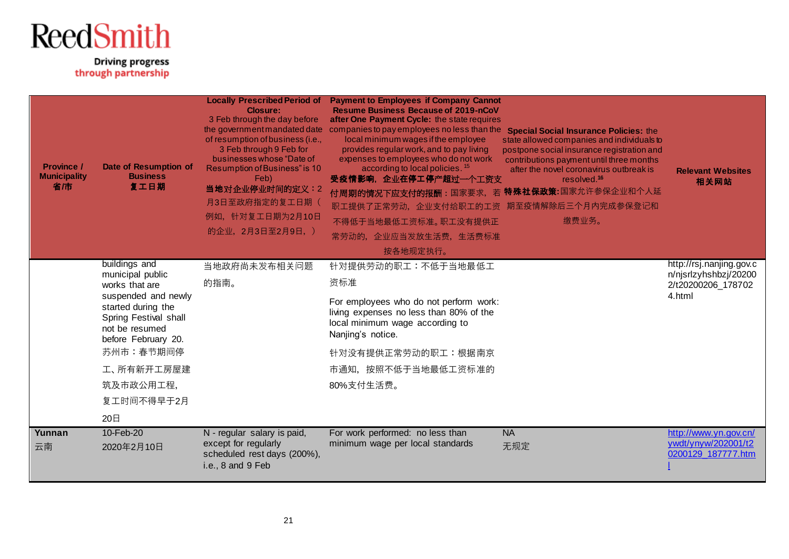| <b>Province /</b><br><b>Municipality</b><br>省市 | <b>Date of Resumption of</b><br><b>Business</b><br>复工日期                                                     | <b>Locally Prescribed Period of</b><br><b>Closure:</b><br>3 Feb through the day before<br>the government mandated date<br>of resumption of business (i.e.,<br>3 Feb through 9 Feb for<br>businesses whose "Date of<br>Resumption of Business" is 10<br>Feb)<br>当地对企业停业时间的定义: 2<br>月3日至政府指定的复工日期(<br>例如, 针对复工日期为2月10日<br>的企业, 2月3日至2月9日, ) | <b>Payment to Employees if Company Cannot</b><br><b>Resume Business Because of 2019-nCoV</b><br>after One Payment Cycle: the state requires<br>companies to pay employees no less than the<br>local minimum wages if the employee<br>provides regular work, and to pay living<br>expenses to employees who do not work<br>according to local policies. <sup>15</sup><br>受疫情影响,企业在停工停产超过一个工资支<br>付周期的情况下应支付的报酬:国家要求,若特殊社保政策:国家允许参保企业和个人延<br>职工提供了正常劳动,企业支付给职工的工资<br>不得低于当地最低工资标准。职工没有提供正<br>常劳动的, 企业应当发放生活费, 生活费标准<br>按各地规定执行。 | <b>Special Social Insurance Policies: the</b><br>state allowed companies and individuals to<br>postpone social insurance registration and<br>contributions payment until three months<br>after the novel coronavirus outbreak is<br>resolved. <sup>16</sup><br>期至疫情解除后三个月内完成参保登记和<br>缴费业务。 | <b>Relevant Websites</b><br>相关网站                                   |
|------------------------------------------------|-------------------------------------------------------------------------------------------------------------|-------------------------------------------------------------------------------------------------------------------------------------------------------------------------------------------------------------------------------------------------------------------------------------------------------------------------------------------|-------------------------------------------------------------------------------------------------------------------------------------------------------------------------------------------------------------------------------------------------------------------------------------------------------------------------------------------------------------------------------------------------------------------------------------------------------------------------------------------------------------------------------|--------------------------------------------------------------------------------------------------------------------------------------------------------------------------------------------------------------------------------------------------------------------------------------------|--------------------------------------------------------------------|
|                                                | buildings and<br>municipal public                                                                           | 当地政府尚未发布相关问题                                                                                                                                                                                                                                                                                                                              | 针对提供劳动的职工:不低于当地最低工                                                                                                                                                                                                                                                                                                                                                                                                                                                                                                            |                                                                                                                                                                                                                                                                                            | http://rsj.nanjing.gov.c<br>n/njsrlzyhshbzj/20200                  |
|                                                | works that are                                                                                              | 的指南。                                                                                                                                                                                                                                                                                                                                      | 资标准                                                                                                                                                                                                                                                                                                                                                                                                                                                                                                                           |                                                                                                                                                                                                                                                                                            | 2/t20200206_178702                                                 |
|                                                | suspended and newly<br>started during the<br>Spring Festival shall<br>not be resumed<br>before February 20. |                                                                                                                                                                                                                                                                                                                                           | For employees who do not perform work:<br>living expenses no less than 80% of the<br>local minimum wage according to<br>Nanjing's notice.                                                                                                                                                                                                                                                                                                                                                                                     |                                                                                                                                                                                                                                                                                            | 4.html                                                             |
|                                                | 苏州市:春节期间停                                                                                                   |                                                                                                                                                                                                                                                                                                                                           | 针对没有提供正常劳动的职工:根据南京                                                                                                                                                                                                                                                                                                                                                                                                                                                                                                            |                                                                                                                                                                                                                                                                                            |                                                                    |
|                                                | 工、所有新开工房屋建                                                                                                  |                                                                                                                                                                                                                                                                                                                                           | 市通知, 按照不低于当地最低工资标准的                                                                                                                                                                                                                                                                                                                                                                                                                                                                                                           |                                                                                                                                                                                                                                                                                            |                                                                    |
|                                                | 筑及市政公用工程,                                                                                                   |                                                                                                                                                                                                                                                                                                                                           | 80%支付生活费。                                                                                                                                                                                                                                                                                                                                                                                                                                                                                                                     |                                                                                                                                                                                                                                                                                            |                                                                    |
|                                                | 复工时间不得早于2月                                                                                                  |                                                                                                                                                                                                                                                                                                                                           |                                                                                                                                                                                                                                                                                                                                                                                                                                                                                                                               |                                                                                                                                                                                                                                                                                            |                                                                    |
|                                                | 20日                                                                                                         |                                                                                                                                                                                                                                                                                                                                           |                                                                                                                                                                                                                                                                                                                                                                                                                                                                                                                               |                                                                                                                                                                                                                                                                                            |                                                                    |
| Yunnan<br>云南                                   | 10-Feb-20<br>2020年2月10日                                                                                     | N - regular salary is paid,<br>except for regularly<br>scheduled rest days (200%),<br>i.e., 8 and 9 Feb                                                                                                                                                                                                                                   | For work performed: no less than<br>minimum wage per local standards                                                                                                                                                                                                                                                                                                                                                                                                                                                          | <b>NA</b><br>无规定                                                                                                                                                                                                                                                                           | http://www.yn.gov.cn/<br>ywdt/ynyw/202001/t2<br>0200129 187777.htm |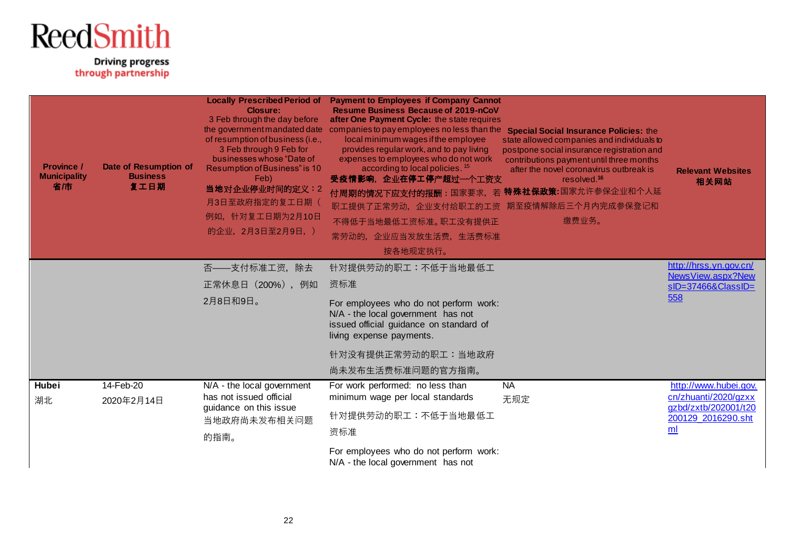| <b>Province /</b><br><b>Municipality</b><br>省庸 | <b>Date of Resumption of</b><br><b>Business</b><br>复工日期 | <b>Locally Prescribed Period of</b><br><b>Closure:</b><br>3 Feb through the day before<br>of resumption of business (i.e.,<br>3 Feb through 9 Feb for<br>businesses whose "Date of<br>Resumption of Business" is 10<br>Feb)<br>当地对企业停业时间的定义: 2<br>月3日至政府指定的复工日期(<br>例如, 针对复工日期为2月10日<br>的企业, 2月3日至2月9日, ) | <b>Payment to Employees if Company Cannot</b><br><b>Resume Business Because of 2019-nCoV</b><br>after One Payment Cycle: the state requires<br>the government mandated date companies to pay employees no less than the<br>local minimum wages if the employee<br>provides regular work, and to pay living<br>expenses to employees who do not work<br>according to local policies. <sup>15</sup><br>受疫情影响,企业在停工停产超过一个工资支<br>付周期的情况下应支付的报酬:国家要求,若特殊社保政策:国家允许参保企业和个人延<br>职工提供了正常劳动,企业支付给职工的工资<br>不得低于当地最低工资标准。职工没有提供正<br>常劳动的, 企业应当发放生活费, 生活费标准<br>按各地规定执行。 | <b>Special Social Insurance Policies: the</b><br>state allowed companies and individuals to<br>postpone social insurance registration and<br>contributions payment until three months<br>after the novel coronavirus outbreak is<br>resolved. <sup>16</sup><br>期至疫情解除后三个月内完成参保登记和<br>缴费业务。 | <b>Relevant Websites</b><br>相关网站                                      |
|------------------------------------------------|---------------------------------------------------------|-----------------------------------------------------------------------------------------------------------------------------------------------------------------------------------------------------------------------------------------------------------------------------------------------------------|------------------------------------------------------------------------------------------------------------------------------------------------------------------------------------------------------------------------------------------------------------------------------------------------------------------------------------------------------------------------------------------------------------------------------------------------------------------------------------------------------------------------------------------------------------|--------------------------------------------------------------------------------------------------------------------------------------------------------------------------------------------------------------------------------------------------------------------------------------------|-----------------------------------------------------------------------|
|                                                |                                                         | 否 -- 支付标准工资, 除去                                                                                                                                                                                                                                                                                           | 针对提供劳动的职工:不低于当地最低工                                                                                                                                                                                                                                                                                                                                                                                                                                                                                                                                         |                                                                                                                                                                                                                                                                                            | http://hrss.yn.gov.cn/<br>NewsView.aspx?New                           |
|                                                |                                                         | 正常休息日 (200%), 例如                                                                                                                                                                                                                                                                                          | 资标准                                                                                                                                                                                                                                                                                                                                                                                                                                                                                                                                                        |                                                                                                                                                                                                                                                                                            | sID=37466&ClassID=                                                    |
|                                                |                                                         | 2月8日和9日。                                                                                                                                                                                                                                                                                                  | For employees who do not perform work:<br>N/A - the local government has not<br>issued official guidance on standard of<br>living expense payments.                                                                                                                                                                                                                                                                                                                                                                                                        |                                                                                                                                                                                                                                                                                            | 558                                                                   |
|                                                |                                                         |                                                                                                                                                                                                                                                                                                           | 针对没有提供正常劳动的职工:当地政府                                                                                                                                                                                                                                                                                                                                                                                                                                                                                                                                         |                                                                                                                                                                                                                                                                                            |                                                                       |
|                                                |                                                         |                                                                                                                                                                                                                                                                                                           | 尚未发布生活费标准问题的官方指南。                                                                                                                                                                                                                                                                                                                                                                                                                                                                                                                                          |                                                                                                                                                                                                                                                                                            |                                                                       |
| Hubei<br>湖北                                    | 14-Feb-20<br>2020年2月14日                                 | N/A - the local government<br>has not issued official                                                                                                                                                                                                                                                     | For work performed: no less than<br>minimum wage per local standards                                                                                                                                                                                                                                                                                                                                                                                                                                                                                       | <b>NA</b><br>无规定                                                                                                                                                                                                                                                                           | http://www.hubei.gov.<br>cn/zhuanti/2020/qzxx<br>gzbd/zxtb/202001/t20 |
|                                                |                                                         | guidance on this issue<br>当地政府尚未发布相关问题                                                                                                                                                                                                                                                                    | 针对提供劳动的职工:不低于当地最低工                                                                                                                                                                                                                                                                                                                                                                                                                                                                                                                                         |                                                                                                                                                                                                                                                                                            | 200129 2016290.sht                                                    |
|                                                |                                                         | 的指南。                                                                                                                                                                                                                                                                                                      | 资标准                                                                                                                                                                                                                                                                                                                                                                                                                                                                                                                                                        |                                                                                                                                                                                                                                                                                            | ml                                                                    |
|                                                |                                                         |                                                                                                                                                                                                                                                                                                           | For employees who do not perform work:<br>N/A - the local government has not                                                                                                                                                                                                                                                                                                                                                                                                                                                                               |                                                                                                                                                                                                                                                                                            |                                                                       |